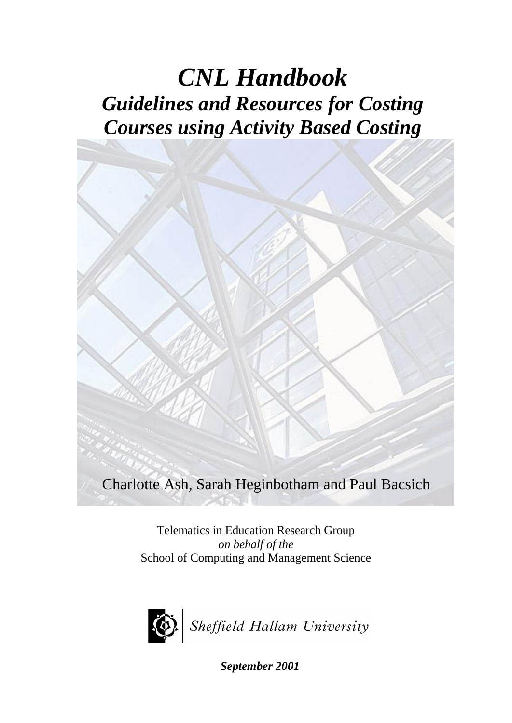# *CNL Handbook Guidelines and Resources for Costing Courses using Activity Based Costing*



Charlotte Ash, Sarah Heginbotham and Paul Bacsich

Telematics in Education Research Group *on behalf of the* School of Computing and Management Science



*September 2001*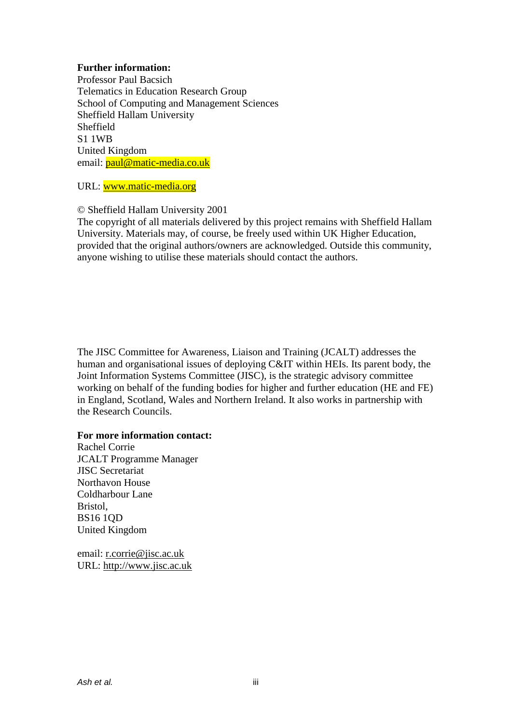#### **Further information:**

Professor Paul Bacsich Telematics in Education Research Group School of Computing and Management Sciences Sheffield Hallam University Sheffield S1 1WB United Kingdom email: **paul@matic-media.co.uk** 

URL: [www.matic-media.org](http://www.matic-media.org/)

© Sheffield Hallam University 2001

The copyright of all materials delivered by this project remains with Sheffield Hallam University. Materials may, of course, be freely used within UK Higher Education, provided that the original authors/owners are acknowledged. Outside this community, anyone wishing to utilise these materials should contact the authors.

The JISC Committee for Awareness, Liaison and Training (JCALT) addresses the human and organisational issues of deploying C&IT within HEIs. Its parent body, the Joint Information Systems Committee (JISC), is the strategic advisory committee working on behalf of the funding bodies for higher and further education (HE and FE) in England, Scotland, Wales and Northern Ireland. It also works in partnership with the Research Councils.

#### **For more information contact:**

Rachel Corrie JCALT Programme Manager JISC Secretariat Northavon House Coldharbour Lane Bristol, BS16 1QD United Kingdom

email: [r.corrie@jisc.ac.uk](mailto:r.corrie@jisc.ac.uk) URL: [http://www.jisc.ac.uk](http://www.jisc.ac.uk/)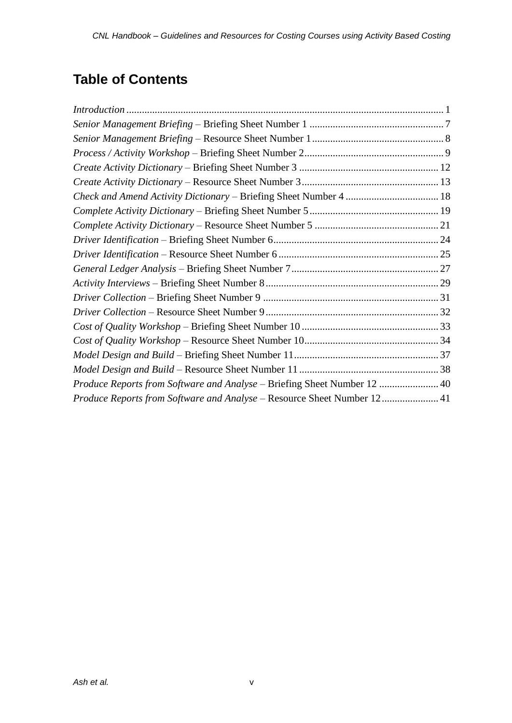### **Table of Contents**

| Produce Reports from Software and Analyse - Briefing Sheet Number 12  40 |  |
|--------------------------------------------------------------------------|--|
| Produce Reports from Software and Analyse - Resource Sheet Number 12 41  |  |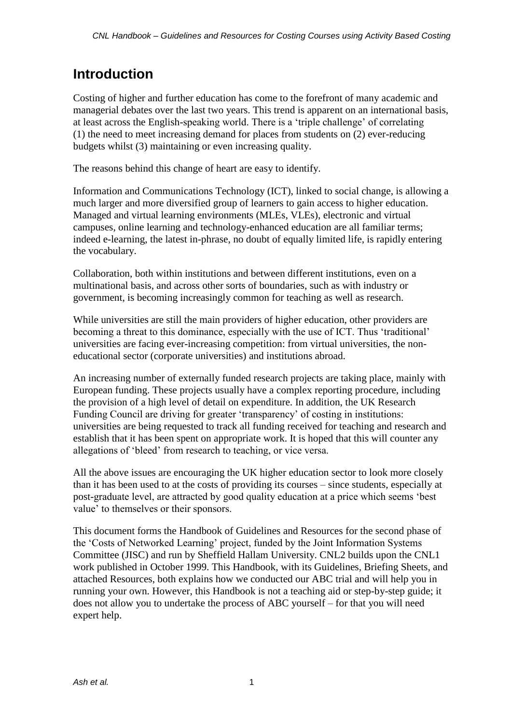### **Introduction**

Costing of higher and further education has come to the forefront of many academic and managerial debates over the last two years. This trend is apparent on an international basis, at least across the English-speaking world. There is a 'triple challenge' of correlating (1) the need to meet increasing demand for places from students on (2) ever-reducing budgets whilst (3) maintaining or even increasing quality.

The reasons behind this change of heart are easy to identify.

Information and Communications Technology (ICT), linked to social change, is allowing a much larger and more diversified group of learners to gain access to higher education. Managed and virtual learning environments (MLEs, VLEs), electronic and virtual campuses, online learning and technology-enhanced education are all familiar terms; indeed e-learning, the latest in-phrase, no doubt of equally limited life, is rapidly entering the vocabulary.

Collaboration, both within institutions and between different institutions, even on a multinational basis, and across other sorts of boundaries, such as with industry or government, is becoming increasingly common for teaching as well as research.

While universities are still the main providers of higher education, other providers are becoming a threat to this dominance, especially with the use of ICT. Thus 'traditional' universities are facing ever-increasing competition: from virtual universities, the noneducational sector (corporate universities) and institutions abroad.

An increasing number of externally funded research projects are taking place, mainly with European funding. These projects usually have a complex reporting procedure, including the provision of a high level of detail on expenditure. In addition, the UK Research Funding Council are driving for greater 'transparency' of costing in institutions: universities are being requested to track all funding received for teaching and research and establish that it has been spent on appropriate work. It is hoped that this will counter any allegations of 'bleed' from research to teaching, or vice versa.

All the above issues are encouraging the UK higher education sector to look more closely than it has been used to at the costs of providing its courses – since students, especially at post-graduate level, are attracted by good quality education at a price which seems 'best value' to themselves or their sponsors.

This document forms the Handbook of Guidelines and Resources for the second phase of the 'Costs of Networked Learning' project, funded by the Joint Information Systems Committee (JISC) and run by Sheffield Hallam University. CNL2 builds upon the CNL1 work published in October 1999. This Handbook, with its Guidelines, Briefing Sheets, and attached Resources, both explains how we conducted our ABC trial and will help you in running your own. However, this Handbook is not a teaching aid or step-by-step guide; it does not allow you to undertake the process of ABC yourself – for that you will need expert help.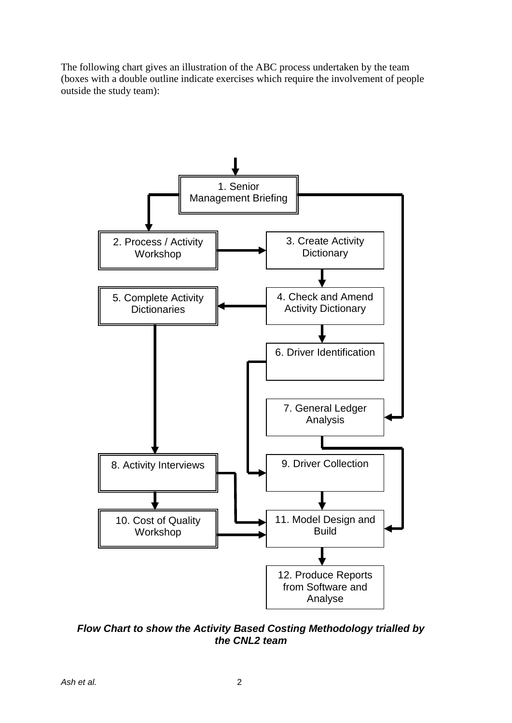The following chart gives an illustration of the ABC process undertaken by the team (boxes with a double outline indicate exercises which require the involvement of people outside the study team):



*Flow Chart to show the Activity Based Costing Methodology trialled by the CNL2 team*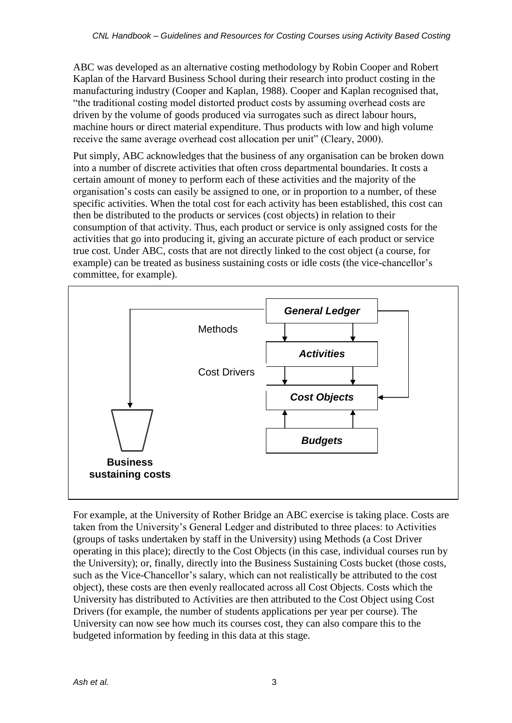ABC was developed as an alternative costing methodology by Robin Cooper and Robert Kaplan of the Harvard Business School during their research into product costing in the manufacturing industry (Cooper and Kaplan, 1988). Cooper and Kaplan recognised that, "the traditional costing model distorted product costs by assuming overhead costs are driven by the volume of goods produced via surrogates such as direct labour hours, machine hours or direct material expenditure. Thus products with low and high volume receive the same average overhead cost allocation per unit" (Cleary, 2000).

Put simply, ABC acknowledges that the business of any organisation can be broken down into a number of discrete activities that often cross departmental boundaries. It costs a certain amount of money to perform each of these activities and the majority of the organisation's costs can easily be assigned to one, or in proportion to a number, of these specific activities. When the total cost for each activity has been established, this cost can then be distributed to the products or services (cost objects) in relation to their consumption of that activity. Thus, each product or service is only assigned costs for the activities that go into producing it, giving an accurate picture of each product or service true cost. Under ABC, costs that are not directly linked to the cost object (a course, for example) can be treated as business sustaining costs or idle costs (the vice-chancellor's committee, for example).



For example, at the University of Rother Bridge an ABC exercise is taking place. Costs are taken from the University's General Ledger and distributed to three places: to Activities (groups of tasks undertaken by staff in the University) using Methods (a Cost Driver operating in this place); directly to the Cost Objects (in this case, individual courses run by the University); or, finally, directly into the Business Sustaining Costs bucket (those costs, such as the Vice-Chancellor's salary, which can not realistically be attributed to the cost object), these costs are then evenly reallocated across all Cost Objects. Costs which the University has distributed to Activities are then attributed to the Cost Object using Cost Drivers (for example, the number of students applications per year per course). The University can now see how much its courses cost, they can also compare this to the budgeted information by feeding in this data at this stage.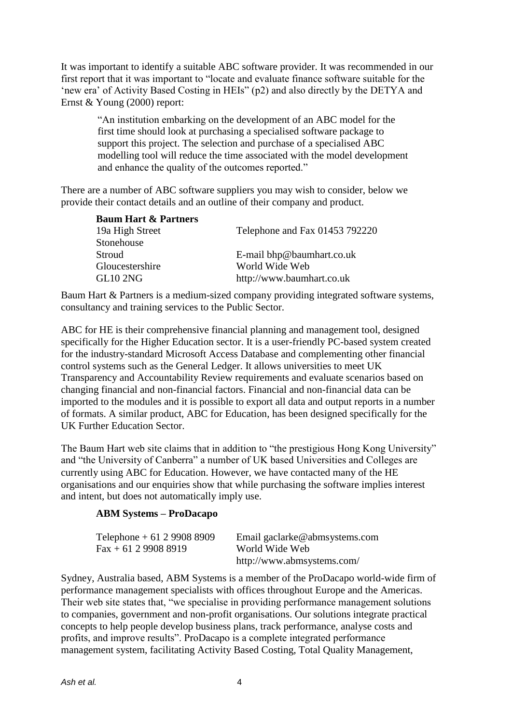It was important to identify a suitable ABC software provider. It was recommended in our first report that it was important to "locate and evaluate finance software suitable for the 'new era' of Activity Based Costing in HEIs" (p2) and also directly by the DETYA and Ernst & Young (2000) report:

"An institution embarking on the development of an ABC model for the first time should look at purchasing a specialised software package to support this project. The selection and purchase of a specialised ABC modelling tool will reduce the time associated with the model development and enhance the quality of the outcomes reported."

There are a number of ABC software suppliers you may wish to consider, below we provide their contact details and an outline of their company and product.

| <b>Baum Hart &amp; Partners</b> |                                |
|---------------------------------|--------------------------------|
| 19a High Street                 | Telephone and Fax 01453 792220 |
| Stonehouse                      |                                |
| Stroud                          | E-mail bhp@baumhart.co.uk      |
| Gloucestershire                 | World Wide Web                 |
| <b>GL10 2NG</b>                 | http://www.baumhart.co.uk      |

Baum Hart & Partners is a medium-sized company providing integrated software systems, consultancy and training services to the Public Sector.

ABC for HE is their comprehensive financial planning and management tool, designed specifically for the Higher Education sector. It is a user-friendly PC-based system created for the industry-standard Microsoft Access Database and complementing other financial control systems such as the General Ledger. It allows universities to meet UK Transparency and Accountability Review requirements and evaluate scenarios based on changing financial and non-financial factors. Financial and non-financial data can be imported to the modules and it is possible to export all data and output reports in a number of formats. A similar product, ABC for Education, has been designed specifically for the UK Further Education Sector.

The Baum Hart web site claims that in addition to "the prestigious Hong Kong University" and "the University of Canberra" a number of UK based Universities and Colleges are currently using ABC for Education. However, we have contacted many of the HE organisations and our enquiries show that while purchasing the software implies interest and intent, but does not automatically imply use.

#### **ABM Systems – ProDacapo**

| Telephone $+61$ 2 9908 8909 | Email gaclarke@abmsystems.com |
|-----------------------------|-------------------------------|
| $Fax + 61 2 9908 8919$      | World Wide Web                |
|                             | http://www.abmsystems.com/    |

Sydney, Australia based, ABM Systems is a member of the ProDacapo world-wide firm of performance management specialists with offices throughout Europe and the Americas. Their web site states that, "we specialise in providing performance management solutions to companies, government and non-profit organisations. Our solutions integrate practical concepts to help people develop business plans, track performance, analyse costs and profits, and improve results". ProDacapo is a complete integrated performance management system, facilitating Activity Based Costing, Total Quality Management,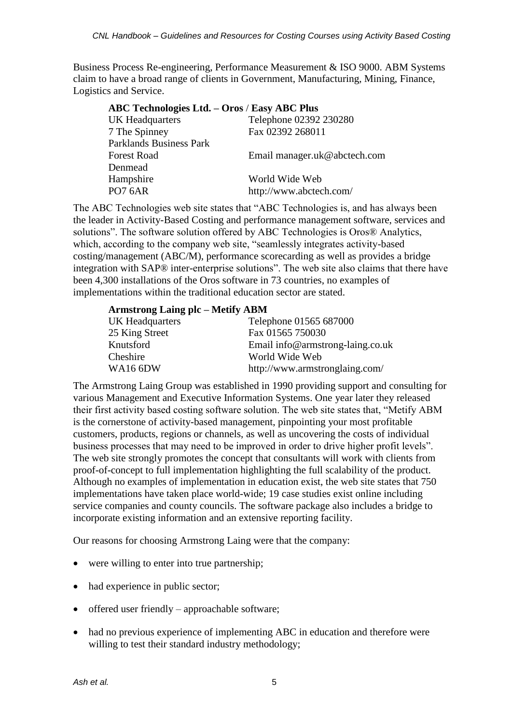Business Process Re-engineering, Performance Measurement & ISO 9000. ABM Systems claim to have a broad range of clients in Government, Manufacturing, Mining, Finance, Logistics and Service.

| ABC Technologies Ltd. - Oros / Easy ABC Plus |                              |
|----------------------------------------------|------------------------------|
| <b>UK Headquarters</b>                       | Telephone 02392 230280       |
| 7 The Spinney                                | Fax 02392 268011             |
| <b>Parklands Business Park</b>               |                              |
| <b>Forest Road</b>                           | Email manager.uk@abctech.com |
| Denmead                                      |                              |
| Hampshire                                    | World Wide Web               |
| <b>PO7 6AR</b>                               | http://www.abctech.com/      |
|                                              |                              |

The ABC Technologies web site states that "ABC Technologies is, and has always been the leader in Activity-Based Costing and performance management software, services and solutions". The software solution offered by ABC Technologies is Oros® Analytics, which, according to the company web site, "seamlessly integrates activity-based costing/management (ABC/M), performance scorecarding as well as provides a bridge integration with SAP® inter-enterprise solutions". The web site also claims that there have been 4,300 installations of the Oros software in 73 countries, no examples of implementations within the traditional education sector are stated.

| <b>Armstrong Laing plc – Metify ABM</b> |                                  |
|-----------------------------------------|----------------------------------|
| UK Headquarters                         | Telephone 01565 687000           |
| 25 King Street                          | Fax 01565 750030                 |
| Knutsford                               | Email info@armstrong-laing.co.uk |
| Cheshire                                | World Wide Web                   |
| <b>WA16 6DW</b>                         | http://www.armstronglaing.com/   |

The Armstrong Laing Group was established in 1990 providing support and consulting for various Management and Executive Information Systems. One year later they released their first activity based costing software solution. The web site states that, "Metify ABM is the cornerstone of activity-based management, pinpointing your most profitable customers, products, regions or channels, as well as uncovering the costs of individual business processes that may need to be improved in order to drive higher profit levels". The web site strongly promotes the concept that consultants will work with clients from proof-of-concept to full implementation highlighting the full scalability of the product. Although no examples of implementation in education exist, the web site states that 750 implementations have taken place world-wide; 19 case studies exist online including service companies and county councils. The software package also includes a bridge to incorporate existing information and an extensive reporting facility.

Our reasons for choosing Armstrong Laing were that the company:

- were willing to enter into true partnership;
- had experience in public sector;
- $\bullet$  offered user friendly approachable software;
- had no previous experience of implementing ABC in education and therefore were willing to test their standard industry methodology;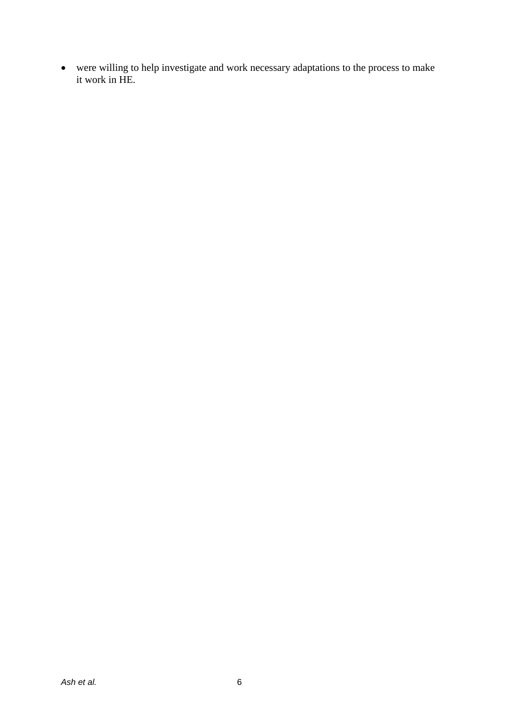were willing to help investigate and work necessary adaptations to the process to make it work in HE.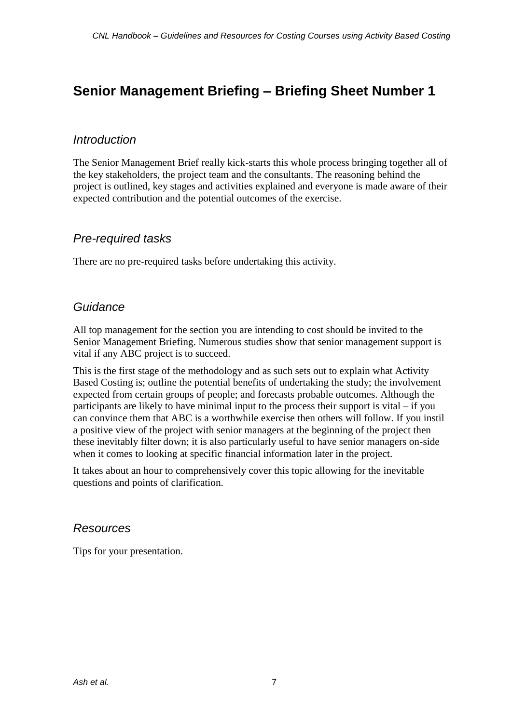### **Senior Management Briefing – Briefing Sheet Number 1**

### *Introduction*

The Senior Management Brief really kick-starts this whole process bringing together all of the key stakeholders, the project team and the consultants. The reasoning behind the project is outlined, key stages and activities explained and everyone is made aware of their expected contribution and the potential outcomes of the exercise.

### *Pre-required tasks*

There are no pre-required tasks before undertaking this activity.

### *Guidance*

All top management for the section you are intending to cost should be invited to the Senior Management Briefing. Numerous studies show that senior management support is vital if any ABC project is to succeed.

This is the first stage of the methodology and as such sets out to explain what Activity Based Costing is; outline the potential benefits of undertaking the study; the involvement expected from certain groups of people; and forecasts probable outcomes. Although the participants are likely to have minimal input to the process their support is vital – if you can convince them that ABC is a worthwhile exercise then others will follow. If you instil a positive view of the project with senior managers at the beginning of the project then these inevitably filter down; it is also particularly useful to have senior managers on-side when it comes to looking at specific financial information later in the project.

It takes about an hour to comprehensively cover this topic allowing for the inevitable questions and points of clarification.

### *Resources*

Tips for your presentation.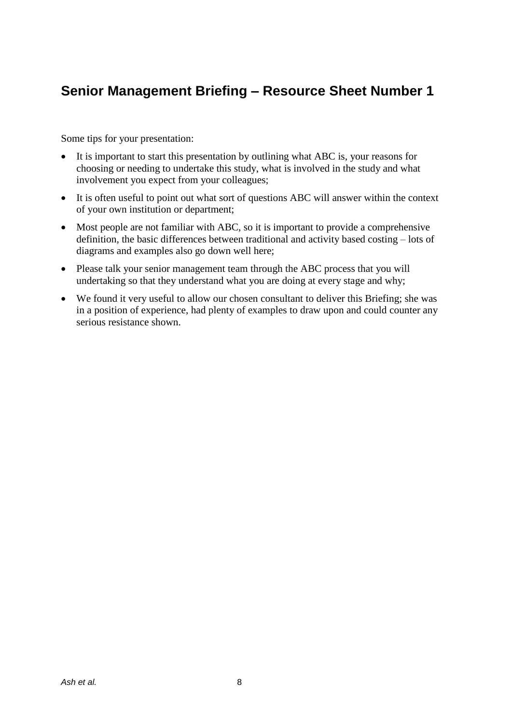### **Senior Management Briefing – Resource Sheet Number 1**

Some tips for your presentation:

- It is important to start this presentation by outlining what ABC is, your reasons for choosing or needing to undertake this study, what is involved in the study and what involvement you expect from your colleagues;
- It is often useful to point out what sort of questions ABC will answer within the context of your own institution or department;
- Most people are not familiar with ABC, so it is important to provide a comprehensive definition, the basic differences between traditional and activity based costing – lots of diagrams and examples also go down well here;
- Please talk your senior management team through the ABC process that you will undertaking so that they understand what you are doing at every stage and why;
- We found it very useful to allow our chosen consultant to deliver this Briefing; she was in a position of experience, had plenty of examples to draw upon and could counter any serious resistance shown.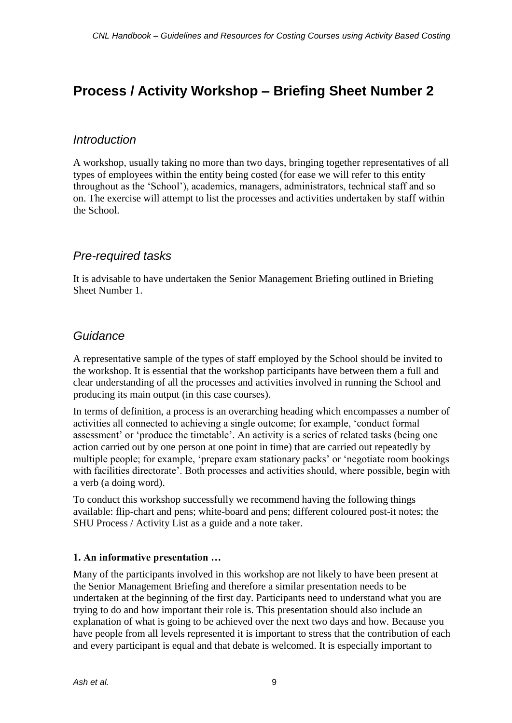### **Process / Activity Workshop – Briefing Sheet Number 2**

### *Introduction*

A workshop, usually taking no more than two days, bringing together representatives of all types of employees within the entity being costed (for ease we will refer to this entity throughout as the 'School'), academics, managers, administrators, technical staff and so on. The exercise will attempt to list the processes and activities undertaken by staff within the School.

### *Pre-required tasks*

It is advisable to have undertaken the Senior Management Briefing outlined in Briefing Sheet Number 1.

### *Guidance*

A representative sample of the types of staff employed by the School should be invited to the workshop. It is essential that the workshop participants have between them a full and clear understanding of all the processes and activities involved in running the School and producing its main output (in this case courses).

In terms of definition, a process is an overarching heading which encompasses a number of activities all connected to achieving a single outcome; for example, 'conduct formal assessment' or 'produce the timetable'. An activity is a series of related tasks (being one action carried out by one person at one point in time) that are carried out repeatedly by multiple people; for example, 'prepare exam stationary packs' or 'negotiate room bookings with facilities directorate'. Both processes and activities should, where possible, begin with a verb (a doing word).

To conduct this workshop successfully we recommend having the following things available: flip-chart and pens; white-board and pens; different coloured post-it notes; the SHU Process / Activity List as a guide and a note taker.

### **1. An informative presentation …**

Many of the participants involved in this workshop are not likely to have been present at the Senior Management Briefing and therefore a similar presentation needs to be undertaken at the beginning of the first day. Participants need to understand what you are trying to do and how important their role is. This presentation should also include an explanation of what is going to be achieved over the next two days and how. Because you have people from all levels represented it is important to stress that the contribution of each and every participant is equal and that debate is welcomed. It is especially important to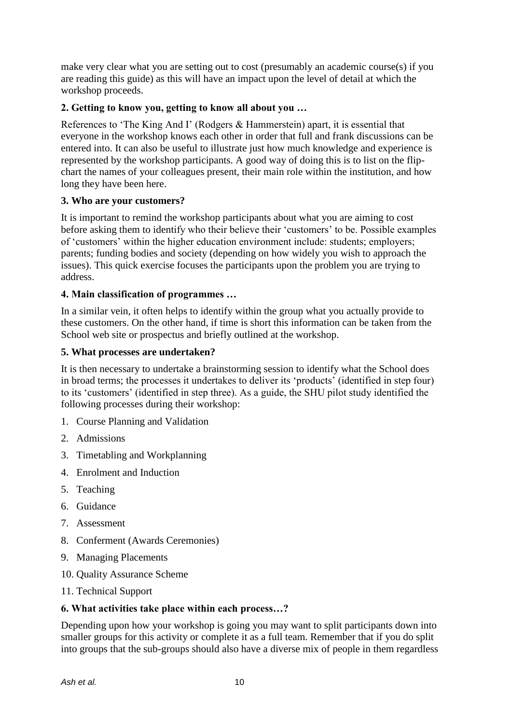make very clear what you are setting out to cost (presumably an academic course(s) if you are reading this guide) as this will have an impact upon the level of detail at which the workshop proceeds.

#### **2. Getting to know you, getting to know all about you …**

References to 'The King And I' (Rodgers & Hammerstein) apart, it is essential that everyone in the workshop knows each other in order that full and frank discussions can be entered into. It can also be useful to illustrate just how much knowledge and experience is represented by the workshop participants. A good way of doing this is to list on the flipchart the names of your colleagues present, their main role within the institution, and how long they have been here.

#### **3. Who are your customers?**

It is important to remind the workshop participants about what you are aiming to cost before asking them to identify who their believe their 'customers' to be. Possible examples of 'customers' within the higher education environment include: students; employers; parents; funding bodies and society (depending on how widely you wish to approach the issues). This quick exercise focuses the participants upon the problem you are trying to address.

#### **4. Main classification of programmes …**

In a similar vein, it often helps to identify within the group what you actually provide to these customers. On the other hand, if time is short this information can be taken from the School web site or prospectus and briefly outlined at the workshop.

#### **5. What processes are undertaken?**

It is then necessary to undertake a brainstorming session to identify what the School does in broad terms; the processes it undertakes to deliver its 'products' (identified in step four) to its 'customers' (identified in step three). As a guide, the SHU pilot study identified the following processes during their workshop:

- 1. Course Planning and Validation
- 2. Admissions
- 3. Timetabling and Workplanning
- 4. Enrolment and Induction
- 5. Teaching
- 6. Guidance
- 7. Assessment
- 8. Conferment (Awards Ceremonies)
- 9. Managing Placements
- 10. Quality Assurance Scheme
- 11. Technical Support

### **6. What activities take place within each process…?**

Depending upon how your workshop is going you may want to split participants down into smaller groups for this activity or complete it as a full team. Remember that if you do split into groups that the sub-groups should also have a diverse mix of people in them regardless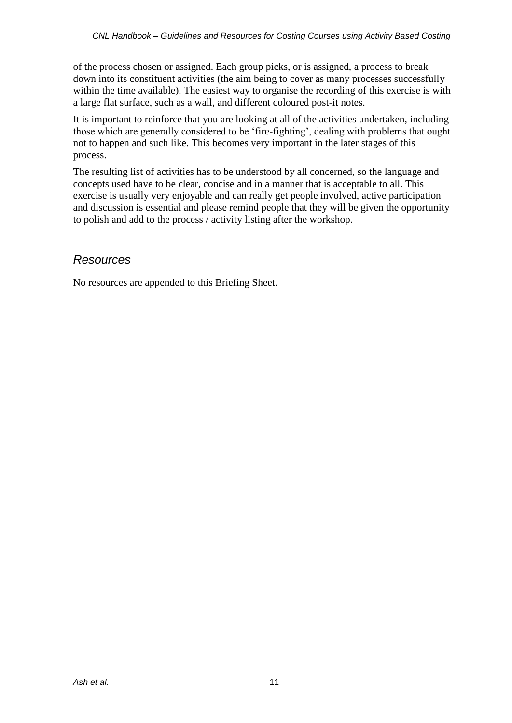of the process chosen or assigned. Each group picks, or is assigned, a process to break down into its constituent activities (the aim being to cover as many processes successfully within the time available). The easiest way to organise the recording of this exercise is with a large flat surface, such as a wall, and different coloured post-it notes.

It is important to reinforce that you are looking at all of the activities undertaken, including those which are generally considered to be 'fire-fighting', dealing with problems that ought not to happen and such like. This becomes very important in the later stages of this process.

The resulting list of activities has to be understood by all concerned, so the language and concepts used have to be clear, concise and in a manner that is acceptable to all. This exercise is usually very enjoyable and can really get people involved, active participation and discussion is essential and please remind people that they will be given the opportunity to polish and add to the process / activity listing after the workshop.

### *Resources*

No resources are appended to this Briefing Sheet.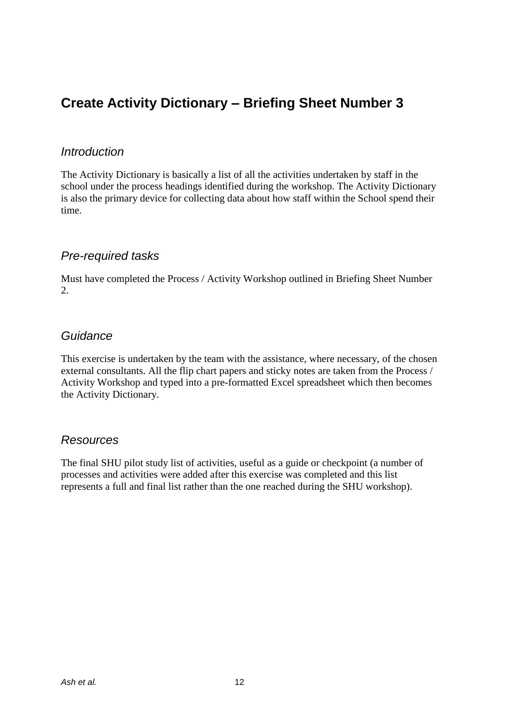### **Create Activity Dictionary – Briefing Sheet Number 3**

### *Introduction*

The Activity Dictionary is basically a list of all the activities undertaken by staff in the school under the process headings identified during the workshop. The Activity Dictionary is also the primary device for collecting data about how staff within the School spend their time.

### *Pre-required tasks*

Must have completed the Process / Activity Workshop outlined in Briefing Sheet Number 2.

### *Guidance*

This exercise is undertaken by the team with the assistance, where necessary, of the chosen external consultants. All the flip chart papers and sticky notes are taken from the Process / Activity Workshop and typed into a pre-formatted Excel spreadsheet which then becomes the Activity Dictionary.

### *Resources*

The final SHU pilot study list of activities, useful as a guide or checkpoint (a number of processes and activities were added after this exercise was completed and this list represents a full and final list rather than the one reached during the SHU workshop).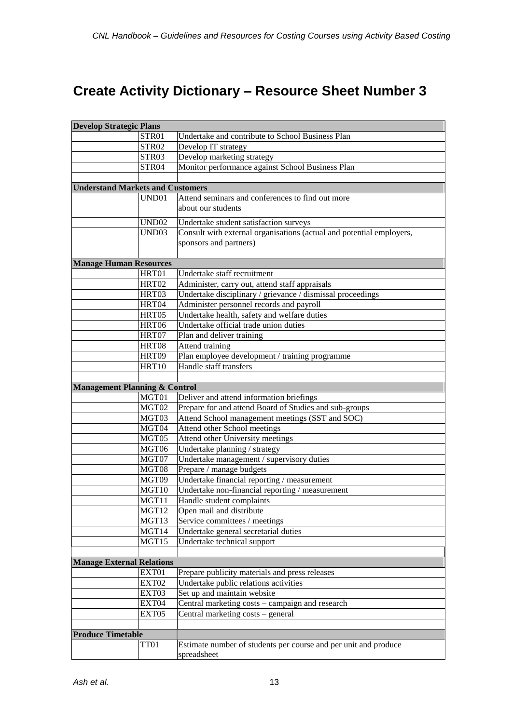## **Create Activity Dictionary – Resource Sheet Number 3**

| <b>Develop Strategic Plans</b>           |                   |                                                                      |  |  |
|------------------------------------------|-------------------|----------------------------------------------------------------------|--|--|
|                                          | STR01             | Undertake and contribute to School Business Plan                     |  |  |
|                                          | STR02             | Develop IT strategy                                                  |  |  |
|                                          | STR03             | Develop marketing strategy                                           |  |  |
|                                          | STR04             | Monitor performance against School Business Plan                     |  |  |
|                                          |                   |                                                                      |  |  |
| <b>Understand Markets and Customers</b>  |                   |                                                                      |  |  |
|                                          | UND01             | Attend seminars and conferences to find out more                     |  |  |
|                                          |                   | about our students                                                   |  |  |
|                                          | <b>UND02</b>      | Undertake student satisfaction surveys                               |  |  |
|                                          | UND <sub>03</sub> | Consult with external organisations (actual and potential employers, |  |  |
|                                          |                   | sponsors and partners)                                               |  |  |
|                                          |                   |                                                                      |  |  |
| <b>Manage Human Resources</b>            |                   |                                                                      |  |  |
|                                          | HRT01             | Undertake staff recruitment                                          |  |  |
|                                          | HRT02             | Administer, carry out, attend staff appraisals                       |  |  |
|                                          | HRT03             | Undertake disciplinary / grievance / dismissal proceedings           |  |  |
|                                          | HRT04             | Administer personnel records and payroll                             |  |  |
|                                          | HRT05             | Undertake health, safety and welfare duties                          |  |  |
|                                          | HRT06             | Undertake official trade union duties                                |  |  |
|                                          | HRT07             | Plan and deliver training                                            |  |  |
|                                          | HRT08             | Attend training                                                      |  |  |
|                                          | HRT09             | Plan employee development / training programme                       |  |  |
|                                          | <b>HRT10</b>      | Handle staff transfers                                               |  |  |
|                                          |                   |                                                                      |  |  |
| <b>Management Planning &amp; Control</b> |                   |                                                                      |  |  |
|                                          | MGT01             | Deliver and attend information briefings                             |  |  |
|                                          | MGT02             | Prepare for and attend Board of Studies and sub-groups               |  |  |
|                                          | MGT03             | Attend School management meetings (SST and SOC)                      |  |  |
|                                          | MGT04             | Attend other School meetings                                         |  |  |
|                                          | MGT05             | Attend other University meetings                                     |  |  |
|                                          | MGT06             | Undertake planning / strategy                                        |  |  |
|                                          | MGT07             | Undertake management / supervisory duties                            |  |  |
|                                          | MGT08             | Prepare / manage budgets                                             |  |  |
|                                          | MGT09             | Undertake financial reporting / measurement                          |  |  |
|                                          | MGT10             | Undertake non-financial reporting / measurement                      |  |  |
|                                          | MGT11             | Handle student complaints                                            |  |  |
|                                          | MGT12             | Open mail and distribute                                             |  |  |
|                                          | MGT13             | Service committees / meetings                                        |  |  |
|                                          | MGT14             | Undertake general secretarial duties                                 |  |  |
|                                          | MGT15             | Undertake technical support                                          |  |  |
|                                          |                   |                                                                      |  |  |
| <b>Manage External Relations</b>         |                   |                                                                      |  |  |
|                                          | EXT01             | Prepare publicity materials and press releases                       |  |  |
|                                          | EXT02             | Undertake public relations activities                                |  |  |
|                                          | EXT03             | Set up and maintain website                                          |  |  |
|                                          | EXT04             | Central marketing costs - campaign and research                      |  |  |
|                                          | EXT05             | Central marketing costs - general                                    |  |  |
|                                          |                   |                                                                      |  |  |
| <b>Produce Timetable</b>                 |                   |                                                                      |  |  |
|                                          | TT01              | Estimate number of students per course and per unit and produce      |  |  |
|                                          |                   | spreadsheet                                                          |  |  |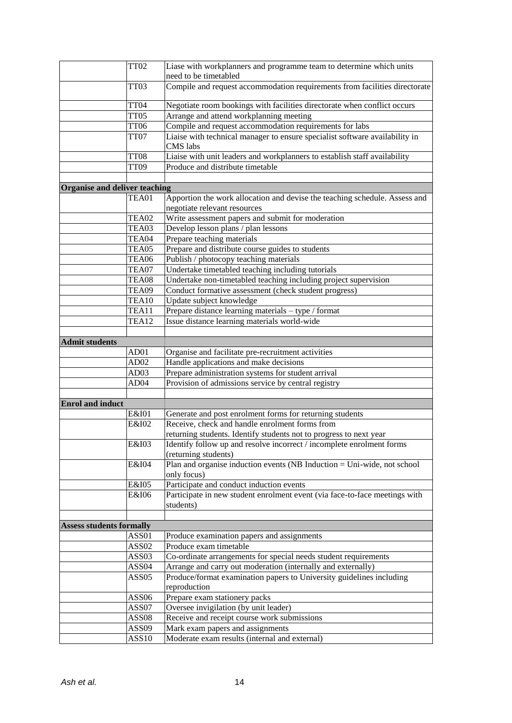|                                 | <b>TT02</b>       | Liase with workplanners and programme team to determine which units                            |
|---------------------------------|-------------------|------------------------------------------------------------------------------------------------|
|                                 |                   | need to be timetabled                                                                          |
|                                 | TT03              | Compile and request accommodation requirements from facilities directorate                     |
|                                 | TT04              | Negotiate room bookings with facilities directorate when conflict occurs                       |
|                                 | TT05              | Arrange and attend workplanning meeting                                                        |
|                                 | <b>TT06</b>       | Compile and request accommodation requirements for labs                                        |
|                                 | TT07              | Liaise with technical manager to ensure specialist software availability in<br><b>CMS</b> labs |
|                                 | <b>TT08</b>       | Liaise with unit leaders and workplanners to establish staff availability                      |
|                                 | TT09              | Produce and distribute timetable                                                               |
|                                 |                   |                                                                                                |
| Organise and deliver teaching   |                   |                                                                                                |
|                                 | TEA01             | Apportion the work allocation and devise the teaching schedule. Assess and                     |
|                                 |                   | negotiate relevant resources                                                                   |
|                                 | TEA02             | Write assessment papers and submit for moderation                                              |
|                                 | TEA03             | Develop lesson plans / plan lessons                                                            |
|                                 | TEA04             | Prepare teaching materials                                                                     |
|                                 | TEA05             | Prepare and distribute course guides to students                                               |
|                                 | TEA06             | Publish / photocopy teaching materials                                                         |
|                                 | TEA07             | Undertake timetabled teaching including tutorials                                              |
|                                 | TEA08             | Undertake non-timetabled teaching including project supervision                                |
|                                 | TEA09             | Conduct formative assessment (check student progress)                                          |
|                                 | TEA10             | Update subject knowledge                                                                       |
|                                 | TEA11             | Prepare distance learning materials - type / format                                            |
|                                 | TEA12             | Issue distance learning materials world-wide                                                   |
|                                 |                   |                                                                                                |
| <b>Admit students</b>           | AD01              |                                                                                                |
|                                 | AD <sub>02</sub>  | Organise and facilitate pre-recruitment activities<br>Handle applications and make decisions   |
|                                 | AD <sub>03</sub>  | Prepare administration systems for student arrival                                             |
|                                 | AD <sub>04</sub>  | Provision of admissions service by central registry                                            |
|                                 |                   |                                                                                                |
| <b>Enrol and induct</b>         |                   |                                                                                                |
|                                 | E&I01             | Generate and post enrolment forms for returning students                                       |
|                                 | E&I02             | Receive, check and handle enrolment forms from                                                 |
|                                 |                   | returning students. Identify students not to progress to next year                             |
|                                 | E&I03             | Identify follow up and resolve incorrect / incomplete enrolment forms                          |
|                                 |                   | (returning students)                                                                           |
|                                 | E&I04             | Plan and organise induction events (NB Induction = Uni-wide, not school                        |
|                                 |                   | only focus)                                                                                    |
|                                 | E&I05             | Participate and conduct induction events                                                       |
|                                 | E&I06             | Participate in new student enrolment event (via face-to-face meetings with                     |
|                                 |                   | students)                                                                                      |
|                                 |                   |                                                                                                |
| <b>Assess students formally</b> |                   |                                                                                                |
|                                 | ASS01             | Produce examination papers and assignments                                                     |
|                                 | ASS02             | Produce exam timetable                                                                         |
|                                 | ASS03             | Co-ordinate arrangements for special needs student requirements                                |
|                                 | ASS <sub>04</sub> | Arrange and carry out moderation (internally and externally)                                   |
|                                 | ASS05             | Produce/format examination papers to University guidelines including<br>reproduction           |
|                                 | ASS <sub>06</sub> | Prepare exam stationery packs                                                                  |
|                                 | ASS07             | Oversee invigilation (by unit leader)                                                          |
|                                 | ASS <sub>08</sub> | Receive and receipt course work submissions                                                    |
|                                 | ASS09             | Mark exam papers and assignments                                                               |
|                                 | ASS10             | Moderate exam results (internal and external)                                                  |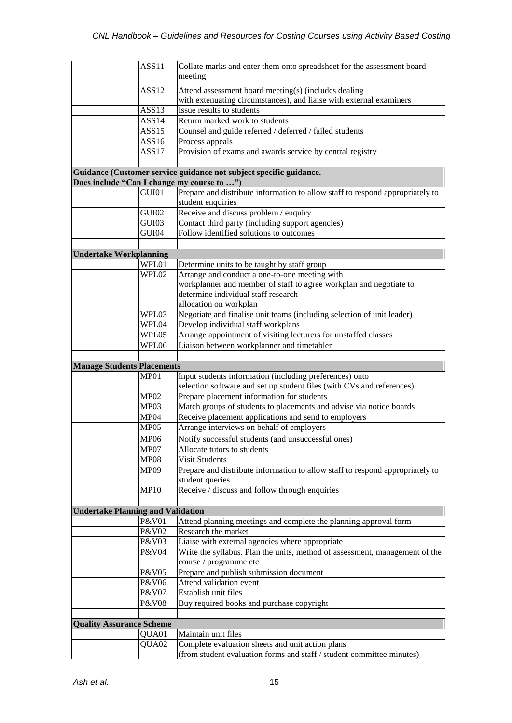|                                          | ASS11            | Collate marks and enter them onto spreadsheet for the assessment board                                            |
|------------------------------------------|------------------|-------------------------------------------------------------------------------------------------------------------|
|                                          |                  | meeting                                                                                                           |
|                                          | ASS12            | Attend assessment board meeting(s) (includes dealing                                                              |
|                                          |                  | with extenuating circumstances), and liaise with external examiners                                               |
|                                          | ASS13            | Issue results to students                                                                                         |
|                                          | ASS14            | Return marked work to students                                                                                    |
|                                          | ASS15            | Counsel and guide referred / deferred / failed students                                                           |
|                                          | ASS16<br>ASS17   | Process appeals<br>Provision of exams and awards service by central registry                                      |
|                                          |                  |                                                                                                                   |
|                                          |                  | Guidance (Customer service guidance not subject specific guidance.                                                |
|                                          |                  | Does include "Can I change my course to ")                                                                        |
|                                          | GUI01            | Prepare and distribute information to allow staff to respond appropriately to                                     |
|                                          |                  | student enquiries                                                                                                 |
|                                          | GUI02            | Receive and discuss problem / enquiry                                                                             |
|                                          | GUI03            | Contact third party (including support agencies)                                                                  |
|                                          | GUI04            | Follow identified solutions to outcomes                                                                           |
| <b>Undertake Workplanning</b>            |                  |                                                                                                                   |
|                                          | WPL01            | Determine units to be taught by staff group                                                                       |
|                                          | WPL02            | Arrange and conduct a one-to-one meeting with                                                                     |
|                                          |                  | workplanner and member of staff to agree workplan and negotiate to                                                |
|                                          |                  | determine individual staff research                                                                               |
|                                          |                  | allocation on workplan                                                                                            |
|                                          | WPL03            | Negotiate and finalise unit teams (including selection of unit leader)                                            |
|                                          | WPL04            | Develop individual staff workplans                                                                                |
|                                          | WPL05            | Arrange appointment of visiting lecturers for unstaffed classes                                                   |
|                                          | WPL06            | Liaison between workplanner and timetabler                                                                        |
|                                          |                  |                                                                                                                   |
|                                          |                  |                                                                                                                   |
| <b>Manage Students Placements</b>        |                  |                                                                                                                   |
|                                          | MP01             | Input students information (including preferences) onto                                                           |
|                                          | MP02             | selection software and set up student files (with CVs and references)                                             |
|                                          | MP03             | Prepare placement information for students<br>Match groups of students to placements and advise via notice boards |
|                                          | MP04             | Receive placement applications and send to employers                                                              |
|                                          | MP05             | Arrange interviews on behalf of employers                                                                         |
|                                          | <b>MP06</b>      | Notify successful students (and unsuccessful ones)                                                                |
|                                          | MP07             | Allocate tutors to students                                                                                       |
|                                          | <b>MP08</b>      | Visit Students                                                                                                    |
|                                          | <b>MP09</b>      | Prepare and distribute information to allow staff to respond appropriately to                                     |
|                                          |                  | student queries                                                                                                   |
|                                          | <b>MP10</b>      | Receive / discuss and follow through enquiries                                                                    |
|                                          |                  |                                                                                                                   |
| <b>Undertake Planning and Validation</b> | P&V01            |                                                                                                                   |
|                                          | P&V02            | Attend planning meetings and complete the planning approval form<br>Research the market                           |
|                                          | P&V03            | Liaise with external agencies where appropriate                                                                   |
|                                          | P&V04            | Write the syllabus. Plan the units, method of assessment, management of the                                       |
|                                          |                  | course / programme etc                                                                                            |
|                                          | P&V05            | Prepare and publish submission document                                                                           |
|                                          | P&V06            | Attend validation event                                                                                           |
|                                          | P&V07            | Establish unit files                                                                                              |
|                                          | <b>P&amp;V08</b> | Buy required books and purchase copyright                                                                         |
|                                          |                  |                                                                                                                   |
| <b>Quality Assurance Scheme</b>          |                  |                                                                                                                   |
|                                          | QUA01<br>QUA02   | Maintain unit files<br>Complete evaluation sheets and unit action plans                                           |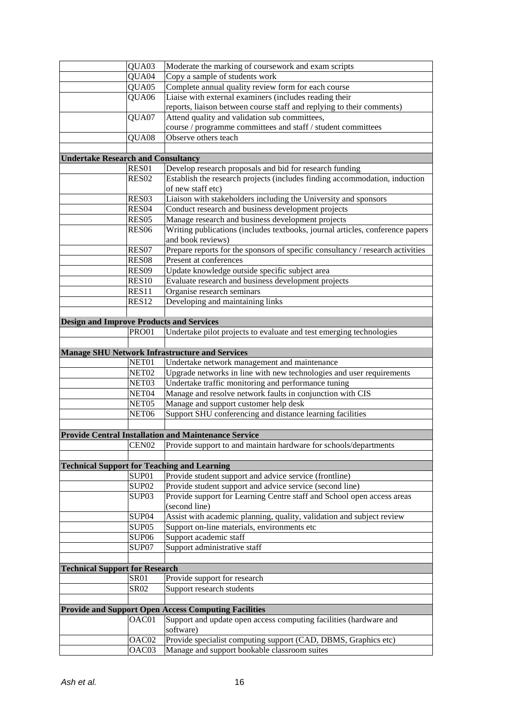|                                                 | QUA03             | Moderate the marking of coursework and exam scripts                            |
|-------------------------------------------------|-------------------|--------------------------------------------------------------------------------|
|                                                 | QUA04             | Copy a sample of students work                                                 |
|                                                 | QUA05             | Complete annual quality review form for each course                            |
|                                                 | QUA06             | Liaise with external examiners (includes reading their                         |
|                                                 |                   | reports, liaison between course staff and replying to their comments)          |
|                                                 | QUA07             | Attend quality and validation sub committees,                                  |
|                                                 |                   | course / programme committees and staff / student committees                   |
|                                                 | QUA08             | Observe others teach                                                           |
|                                                 |                   |                                                                                |
| <b>Undertake Research and Consultancy</b>       |                   |                                                                                |
|                                                 | RES01             | Develop research proposals and bid for research funding                        |
|                                                 | RES <sub>02</sub> | Establish the research projects (includes finding accommodation, induction     |
|                                                 |                   | of new staff etc)                                                              |
|                                                 | RES03             | Liaison with stakeholders including the University and sponsors                |
|                                                 | RES <sub>04</sub> | Conduct research and business development projects                             |
|                                                 | RES <sub>05</sub> | Manage research and business development projects                              |
|                                                 | <b>RES06</b>      | Writing publications (includes textbooks, journal articles, conference papers  |
|                                                 |                   | and book reviews)                                                              |
|                                                 | RES07             | Prepare reports for the sponsors of specific consultancy / research activities |
|                                                 | <b>RES08</b>      | Present at conferences                                                         |
|                                                 | <b>RES09</b>      | Update knowledge outside specific subject area                                 |
|                                                 | <b>RES10</b>      | Evaluate research and business development projects                            |
|                                                 | RES11             | Organise research seminars                                                     |
|                                                 | <b>RES12</b>      |                                                                                |
|                                                 |                   | Developing and maintaining links                                               |
|                                                 |                   |                                                                                |
| <b>Design and Improve Products and Services</b> |                   |                                                                                |
|                                                 | <b>PRO01</b>      | Undertake pilot projects to evaluate and test emerging technologies            |
|                                                 |                   |                                                                                |
|                                                 |                   | <b>Manage SHU Network Infrastructure and Services</b>                          |
|                                                 | NET01             | Undertake network management and maintenance                                   |
|                                                 | NET <sub>02</sub> | Upgrade networks in line with new technologies and user requirements           |
|                                                 | NET03             | Undertake traffic monitoring and performance tuning                            |
|                                                 | NET04             | Manage and resolve network faults in conjunction with CIS                      |
|                                                 | NET05             | Manage and support customer help desk                                          |
|                                                 | NET <sub>06</sub> | Support SHU conferencing and distance learning facilities                      |
|                                                 |                   |                                                                                |
|                                                 |                   | <b>Provide Central Installation and Maintenance Service</b>                    |
|                                                 | CEN02             | Provide support to and maintain hardware for schools/departments               |
|                                                 |                   |                                                                                |
|                                                 |                   | <b>Technical Support for Teaching and Learning</b>                             |
|                                                 | SUP01             | Provide student support and advice service (frontline)                         |
|                                                 | SUP <sub>02</sub> | Provide student support and advice service (second line)                       |
|                                                 | SUP <sub>03</sub> | Provide support for Learning Centre staff and School open access areas         |
|                                                 |                   | (second line)                                                                  |
|                                                 | SUP <sub>04</sub> | Assist with academic planning, quality, validation and subject review          |
|                                                 | SUP <sub>05</sub> | Support on-line materials, environments etc                                    |
|                                                 | SUP <sub>06</sub> | Support academic staff                                                         |
|                                                 | SUP07             | Support administrative staff                                                   |
|                                                 |                   |                                                                                |
| <b>Technical Support for Research</b>           |                   |                                                                                |
|                                                 | <b>SR01</b>       | Provide support for research                                                   |
|                                                 | <b>SR02</b>       | Support research students                                                      |
|                                                 |                   |                                                                                |
|                                                 |                   | <b>Provide and Support Open Access Computing Facilities</b>                    |
|                                                 | OAC01             | Support and update open access computing facilities (hardware and              |
|                                                 |                   | software)                                                                      |
|                                                 | OAC02             | Provide specialist computing support (CAD, DBMS, Graphics etc)                 |
|                                                 | OAC03             | Manage and support bookable classroom suites                                   |
|                                                 |                   |                                                                                |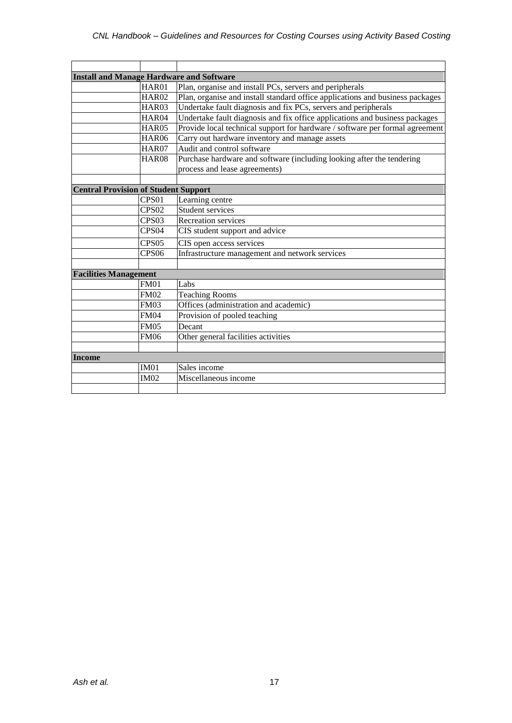| <b>Install and Manage Hardware and Software</b> |                   |                                                                               |
|-------------------------------------------------|-------------------|-------------------------------------------------------------------------------|
|                                                 | HAR01             | Plan, organise and install PCs, servers and peripherals                       |
|                                                 | <b>HAR02</b>      | Plan, organise and install standard office applications and business packages |
|                                                 | HAR03             | Undertake fault diagnosis and fix PCs, servers and peripherals                |
|                                                 | HAR04             | Undertake fault diagnosis and fix office applications and business packages   |
|                                                 | <b>HAR05</b>      | Provide local technical support for hardware / software per formal agreement  |
|                                                 | <b>HAR06</b>      | Carry out hardware inventory and manage assets                                |
|                                                 | <b>HAR07</b>      | Audit and control software                                                    |
|                                                 | <b>HAR08</b>      | Purchase hardware and software (including looking after the tendering         |
|                                                 |                   | process and lease agreements)                                                 |
|                                                 |                   |                                                                               |
| <b>Central Provision of Student Support</b>     |                   |                                                                               |
|                                                 | CPS <sub>01</sub> | Learning centre                                                               |
|                                                 | CPS <sub>02</sub> | <b>Student services</b>                                                       |
|                                                 | CPS <sub>03</sub> | Recreation services                                                           |
|                                                 | CPS <sub>04</sub> | CIS student support and advice                                                |
|                                                 | CPS <sub>05</sub> | CIS open access services                                                      |
|                                                 | CPS <sub>06</sub> | Infrastructure management and network services                                |
|                                                 |                   |                                                                               |
| <b>Facilities Management</b>                    |                   |                                                                               |
|                                                 | <b>FM01</b>       | Labs                                                                          |
|                                                 | <b>FM02</b>       | <b>Teaching Rooms</b>                                                         |
|                                                 | <b>FM03</b>       | Offices (administration and academic)                                         |
|                                                 | <b>FM04</b>       | Provision of pooled teaching                                                  |
|                                                 | <b>FM05</b>       | Decant                                                                        |
|                                                 | <b>FM06</b>       | Other general facilities activities                                           |
|                                                 |                   |                                                                               |
| <b>Income</b>                                   |                   |                                                                               |
|                                                 | IM01              | Sales income                                                                  |
|                                                 | <b>IM02</b>       | Miscellaneous income                                                          |
|                                                 |                   |                                                                               |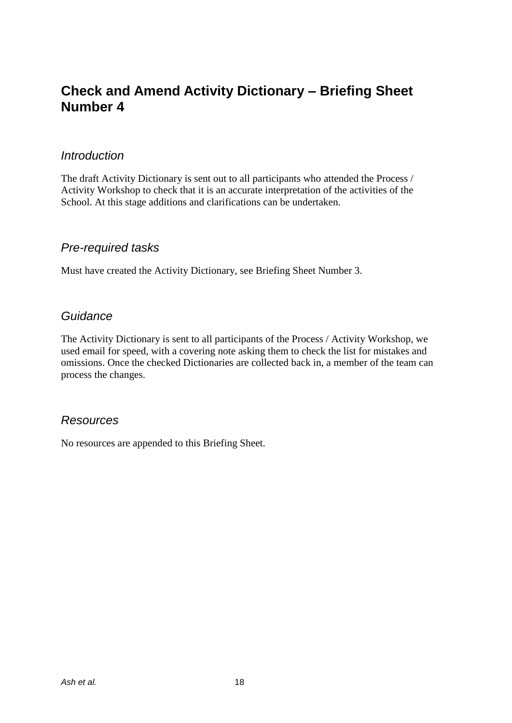### **Check and Amend Activity Dictionary – Briefing Sheet Number 4**

### *Introduction*

The draft Activity Dictionary is sent out to all participants who attended the Process / Activity Workshop to check that it is an accurate interpretation of the activities of the School. At this stage additions and clarifications can be undertaken.

### *Pre-required tasks*

Must have created the Activity Dictionary, see Briefing Sheet Number 3.

### *Guidance*

The Activity Dictionary is sent to all participants of the Process / Activity Workshop, we used email for speed, with a covering note asking them to check the list for mistakes and omissions. Once the checked Dictionaries are collected back in, a member of the team can process the changes.

### *Resources*

No resources are appended to this Briefing Sheet.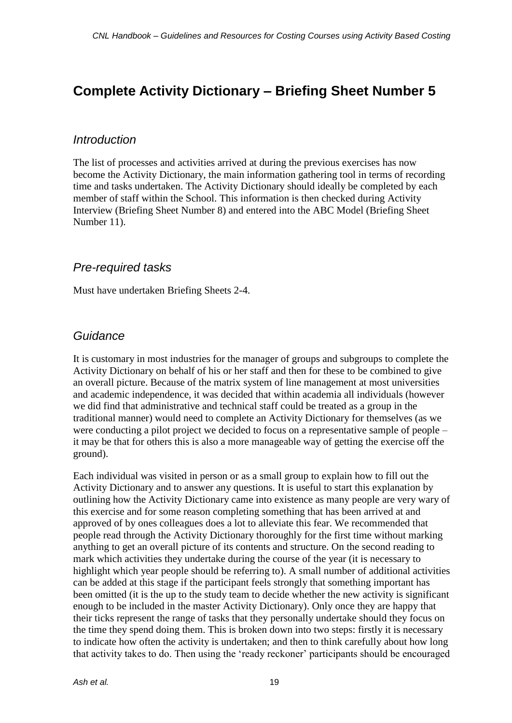### **Complete Activity Dictionary – Briefing Sheet Number 5**

### *Introduction*

The list of processes and activities arrived at during the previous exercises has now become the Activity Dictionary, the main information gathering tool in terms of recording time and tasks undertaken. The Activity Dictionary should ideally be completed by each member of staff within the School. This information is then checked during Activity Interview (Briefing Sheet Number 8) and entered into the ABC Model (Briefing Sheet Number 11).

### *Pre-required tasks*

Must have undertaken Briefing Sheets 2-4.

### *Guidance*

It is customary in most industries for the manager of groups and subgroups to complete the Activity Dictionary on behalf of his or her staff and then for these to be combined to give an overall picture. Because of the matrix system of line management at most universities and academic independence, it was decided that within academia all individuals (however we did find that administrative and technical staff could be treated as a group in the traditional manner) would need to complete an Activity Dictionary for themselves (as we were conducting a pilot project we decided to focus on a representative sample of people – it may be that for others this is also a more manageable way of getting the exercise off the ground).

Each individual was visited in person or as a small group to explain how to fill out the Activity Dictionary and to answer any questions. It is useful to start this explanation by outlining how the Activity Dictionary came into existence as many people are very wary of this exercise and for some reason completing something that has been arrived at and approved of by ones colleagues does a lot to alleviate this fear. We recommended that people read through the Activity Dictionary thoroughly for the first time without marking anything to get an overall picture of its contents and structure. On the second reading to mark which activities they undertake during the course of the year (it is necessary to highlight which year people should be referring to). A small number of additional activities can be added at this stage if the participant feels strongly that something important has been omitted (it is the up to the study team to decide whether the new activity is significant enough to be included in the master Activity Dictionary). Only once they are happy that their ticks represent the range of tasks that they personally undertake should they focus on the time they spend doing them. This is broken down into two steps: firstly it is necessary to indicate how often the activity is undertaken; and then to think carefully about how long that activity takes to do. Then using the 'ready reckoner' participants should be encouraged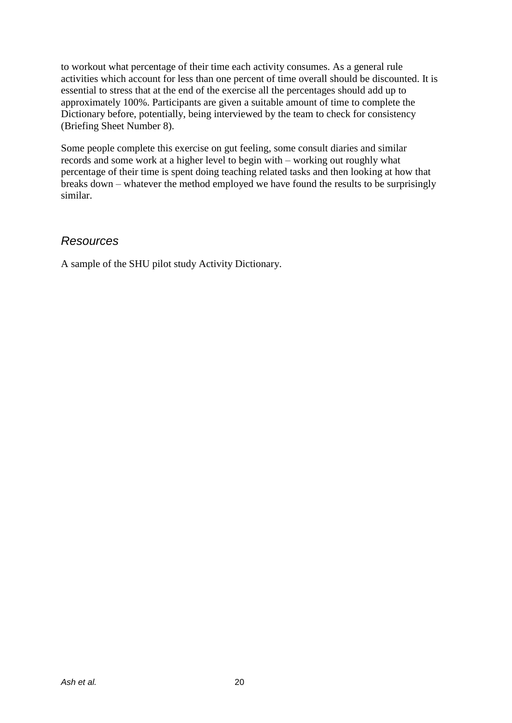to workout what percentage of their time each activity consumes. As a general rule activities which account for less than one percent of time overall should be discounted. It is essential to stress that at the end of the exercise all the percentages should add up to approximately 100%. Participants are given a suitable amount of time to complete the Dictionary before, potentially, being interviewed by the team to check for consistency (Briefing Sheet Number 8).

Some people complete this exercise on gut feeling, some consult diaries and similar records and some work at a higher level to begin with – working out roughly what percentage of their time is spent doing teaching related tasks and then looking at how that breaks down – whatever the method employed we have found the results to be surprisingly similar.

### *Resources*

A sample of the SHU pilot study Activity Dictionary.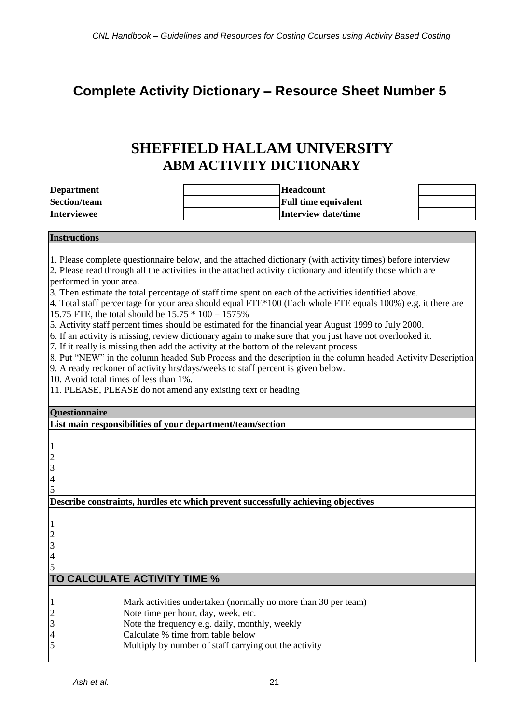### **Complete Activity Dictionary – Resource Sheet Number 5**

### **SHEFFIELD HALLAM UNIVERSITY ABM ACTIVITY DICTIONARY**

| <b>Department</b>                                            | <b>Headcount</b>                                                                                                                                                                                                         |  |
|--------------------------------------------------------------|--------------------------------------------------------------------------------------------------------------------------------------------------------------------------------------------------------------------------|--|
| <b>Section/team</b>                                          | <b>Full time equivalent</b>                                                                                                                                                                                              |  |
| <b>Interviewee</b>                                           | <b>Interview date/time</b>                                                                                                                                                                                               |  |
| <b>Instructions</b>                                          |                                                                                                                                                                                                                          |  |
|                                                              |                                                                                                                                                                                                                          |  |
|                                                              | 1. Please complete questionnaire below, and the attached dictionary (with activity times) before interview<br>2. Please read through all the activities in the attached activity dictionary and identify those which are |  |
| performed in your area.                                      |                                                                                                                                                                                                                          |  |
|                                                              | 3. Then estimate the total percentage of staff time spent on each of the activities identified above.                                                                                                                    |  |
|                                                              | 4. Total staff percentage for your area should equal FTE*100 (Each whole FTE equals $100\%$ ) e.g. it there are                                                                                                          |  |
| 15.75 FTE, the total should be $15.75 * 100 = 1575\%$        |                                                                                                                                                                                                                          |  |
|                                                              | 5. Activity staff percent times should be estimated for the financial year August 1999 to July 2000.                                                                                                                     |  |
|                                                              | 6. If an activity is missing, review dictionary again to make sure that you just have not overlooked it.                                                                                                                 |  |
|                                                              | 7. If it really is missing then add the activity at the bottom of the relevant process                                                                                                                                   |  |
|                                                              | 8. Put "NEW" in the column headed Sub Process and the description in the column headed Activity Description                                                                                                              |  |
|                                                              | 9. A ready reckoner of activity hrs/days/weeks to staff percent is given below.                                                                                                                                          |  |
| 10. Avoid total times of less than 1%.                       |                                                                                                                                                                                                                          |  |
| 11. PLEASE, PLEASE do not amend any existing text or heading |                                                                                                                                                                                                                          |  |
|                                                              |                                                                                                                                                                                                                          |  |
| <b>Questionnaire</b>                                         |                                                                                                                                                                                                                          |  |
| List main responsibilities of your department/team/section   |                                                                                                                                                                                                                          |  |
|                                                              |                                                                                                                                                                                                                          |  |
|                                                              |                                                                                                                                                                                                                          |  |
|                                                              |                                                                                                                                                                                                                          |  |
|                                                              |                                                                                                                                                                                                                          |  |
| $\frac{1}{2}$ $\frac{2}{3}$ $\frac{4}{5}$                    |                                                                                                                                                                                                                          |  |
|                                                              | Describe constraints, hurdles etc which prevent successfully achieving objectives                                                                                                                                        |  |
|                                                              |                                                                                                                                                                                                                          |  |
|                                                              |                                                                                                                                                                                                                          |  |
| $\begin{array}{c} 1 \\ 2 \\ 3 \\ 4 \end{array}$              |                                                                                                                                                                                                                          |  |
|                                                              |                                                                                                                                                                                                                          |  |
|                                                              |                                                                                                                                                                                                                          |  |
|                                                              |                                                                                                                                                                                                                          |  |
| TO CALCULATE ACTIVITY TIME %                                 |                                                                                                                                                                                                                          |  |
|                                                              |                                                                                                                                                                                                                          |  |
|                                                              | Mark activities undertaken (normally no more than 30 per team)                                                                                                                                                           |  |
| $\frac{1}{2}$ 3 4 5                                          | Note time per hour, day, week, etc.                                                                                                                                                                                      |  |
|                                                              | Note the frequency e.g. daily, monthly, weekly<br>Calculate % time from table below                                                                                                                                      |  |
|                                                              | Multiply by number of staff carrying out the activity                                                                                                                                                                    |  |
|                                                              |                                                                                                                                                                                                                          |  |
|                                                              |                                                                                                                                                                                                                          |  |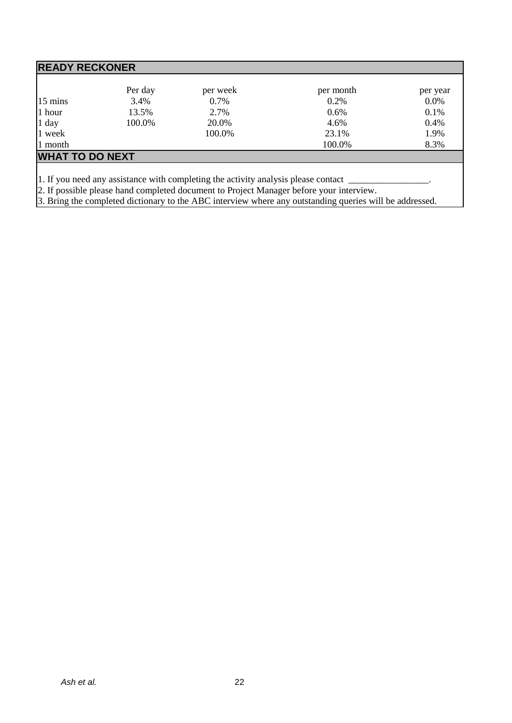| <b>READY RECKONER</b> |                        |           |          |  |  |
|-----------------------|------------------------|-----------|----------|--|--|
| Per day               | per week               | per month | per year |  |  |
| 3.4%                  | 0.7%                   | 0.2%      | 0.0%     |  |  |
| 13.5%                 | 2.7%                   | 0.6%      | 0.1%     |  |  |
| 100.0%                | 20.0%                  | 4.6%      | 0.4%     |  |  |
|                       | 100.0%                 | 23.1%     | 1.9%     |  |  |
|                       |                        | 100.0%    | 8.3%     |  |  |
|                       |                        |           |          |  |  |
|                       | <b>WHAT TO DO NEXT</b> |           |          |  |  |

1. If you need any assistance with completing the activity analysis please contact \_\_\_\_\_\_\_\_\_\_\_\_\_\_\_\_.

2. If possible please hand completed document to Project Manager before your interview.

3. Bring the completed dictionary to the ABC interview where any outstanding queries will be addressed.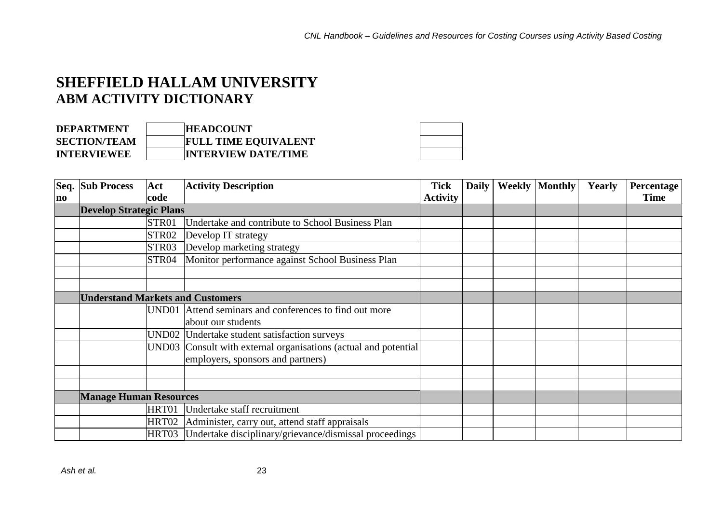### **SHEFFIELD HALLAM UNIVERSITY ABM ACTIVITY DICTIONARY**

| <b>DEPARTMENT</b>   | <b>HEADCOUNT</b>            |
|---------------------|-----------------------------|
| <b>SECTION/TEAM</b> | <b>FULL TIME EQUIVALENT</b> |
| <b>INTERVIEWEE</b>  | <b>INTERVIEW DATE/TIME</b>  |

|                | Seq. Sub Process                        | Act               | <b>Activity Description</b>                                     | <b>Tick</b>     | <b>Daily</b> | <b>Weekly Monthly</b> | Yearly | Percentage  |
|----------------|-----------------------------------------|-------------------|-----------------------------------------------------------------|-----------------|--------------|-----------------------|--------|-------------|
| n <sub>0</sub> |                                         | code              |                                                                 | <b>Activity</b> |              |                       |        | <b>Time</b> |
|                | <b>Develop Strategic Plans</b>          |                   |                                                                 |                 |              |                       |        |             |
|                |                                         | STR01             | Undertake and contribute to School Business Plan                |                 |              |                       |        |             |
|                |                                         | STR <sub>02</sub> | Develop IT strategy                                             |                 |              |                       |        |             |
|                |                                         | STR <sub>03</sub> | Develop marketing strategy                                      |                 |              |                       |        |             |
|                |                                         | STR04             | Monitor performance against School Business Plan                |                 |              |                       |        |             |
|                |                                         |                   |                                                                 |                 |              |                       |        |             |
|                |                                         |                   |                                                                 |                 |              |                       |        |             |
|                | <b>Understand Markets and Customers</b> |                   |                                                                 |                 |              |                       |        |             |
|                |                                         |                   | UND01 Attend seminars and conferences to find out more          |                 |              |                       |        |             |
|                |                                         |                   | about our students                                              |                 |              |                       |        |             |
|                |                                         |                   | UND02 Undertake student satisfaction surveys                    |                 |              |                       |        |             |
|                |                                         |                   | UND03 Consult with external organisations (actual and potential |                 |              |                       |        |             |
|                |                                         |                   | employers, sponsors and partners)                               |                 |              |                       |        |             |
|                |                                         |                   |                                                                 |                 |              |                       |        |             |
|                |                                         |                   |                                                                 |                 |              |                       |        |             |
|                | <b>Manage Human Resources</b>           |                   |                                                                 |                 |              |                       |        |             |
|                |                                         |                   | HRT01 Undertake staff recruitment                               |                 |              |                       |        |             |
|                |                                         |                   | HRT02 Administer, carry out, attend staff appraisals            |                 |              |                       |        |             |
|                |                                         |                   | HRT03 Undertake disciplinary/grievance/dismissal proceedings    |                 |              |                       |        |             |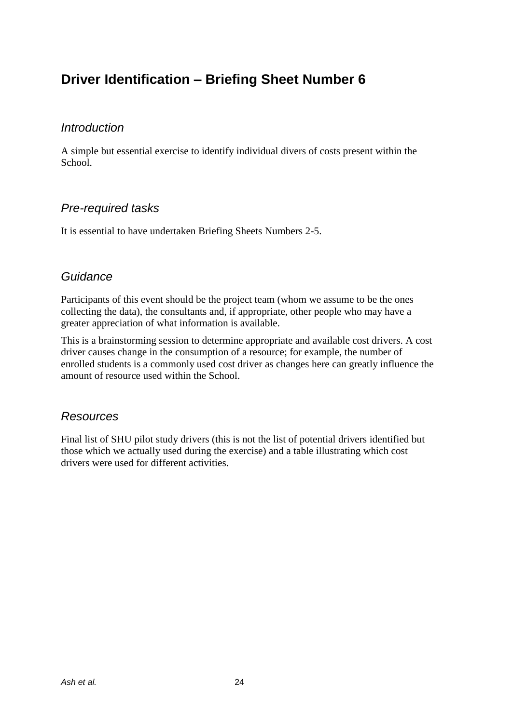### **Driver Identification – Briefing Sheet Number 6**

### *Introduction*

A simple but essential exercise to identify individual divers of costs present within the School.

### *Pre-required tasks*

It is essential to have undertaken Briefing Sheets Numbers 2-5.

### *Guidance*

Participants of this event should be the project team (whom we assume to be the ones collecting the data), the consultants and, if appropriate, other people who may have a greater appreciation of what information is available.

This is a brainstorming session to determine appropriate and available cost drivers. A cost driver causes change in the consumption of a resource; for example, the number of enrolled students is a commonly used cost driver as changes here can greatly influence the amount of resource used within the School.

### *Resources*

Final list of SHU pilot study drivers (this is not the list of potential drivers identified but those which we actually used during the exercise) and a table illustrating which cost drivers were used for different activities.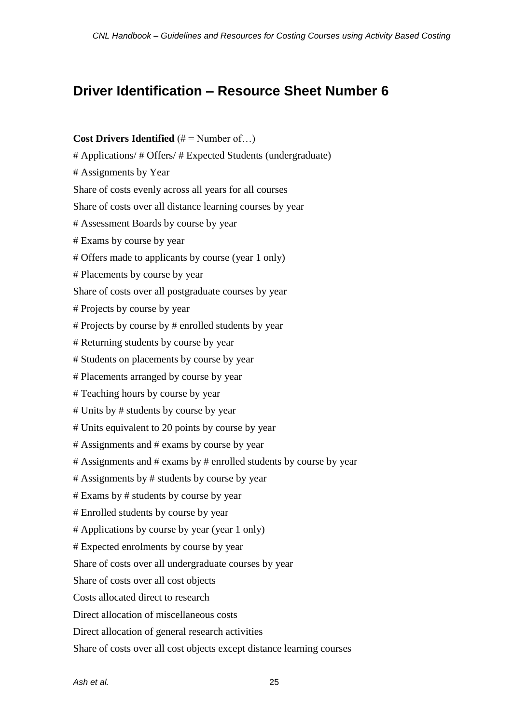### **Driver Identification – Resource Sheet Number 6**

#### **Cost Drivers Identified** (# = Number of...)

# Applications/ # Offers/ # Expected Students (undergraduate)

# Assignments by Year

Share of costs evenly across all years for all courses

Share of costs over all distance learning courses by year

# Assessment Boards by course by year

- # Exams by course by year
- # Offers made to applicants by course (year 1 only)
- # Placements by course by year

Share of costs over all postgraduate courses by year

- # Projects by course by year
- # Projects by course by # enrolled students by year
- # Returning students by course by year
- # Students on placements by course by year
- # Placements arranged by course by year
- # Teaching hours by course by year
- # Units by # students by course by year
- # Units equivalent to 20 points by course by year
- # Assignments and # exams by course by year
- # Assignments and # exams by # enrolled students by course by year
- # Assignments by # students by course by year
- # Exams by # students by course by year
- # Enrolled students by course by year
- # Applications by course by year (year 1 only)
- # Expected enrolments by course by year

Share of costs over all undergraduate courses by year

Share of costs over all cost objects

- Costs allocated direct to research
- Direct allocation of miscellaneous costs
- Direct allocation of general research activities

Share of costs over all cost objects except distance learning courses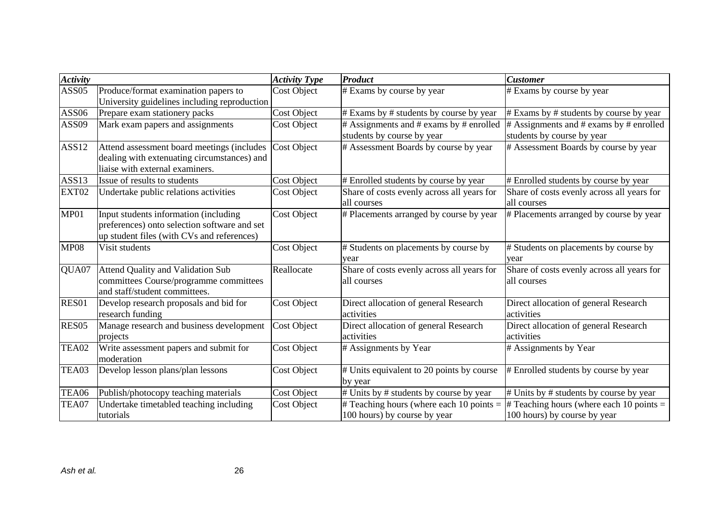| <b>Activity</b>   |                                                                                                                                     | <b>Activity Type</b> | Product                                                                        | <b>Customer</b>                                                             |
|-------------------|-------------------------------------------------------------------------------------------------------------------------------------|----------------------|--------------------------------------------------------------------------------|-----------------------------------------------------------------------------|
| ASS <sub>05</sub> | Produce/format examination papers to<br>University guidelines including reproduction                                                | <b>Cost Object</b>   | # Exams by course by year                                                      | # Exams by course by year                                                   |
| <b>ASS06</b>      | Prepare exam stationery packs                                                                                                       | <b>Cost Object</b>   | # Exams by # students by course by year                                        | $#$ Exams by $#$ students by course by year                                 |
| ASS09             | Mark exam papers and assignments                                                                                                    | <b>Cost Object</b>   | $\#$ Assignments and $\#$ exams by $\#$ enrolled<br>students by course by year | $#$ Assignments and $#$ exams by $#$ enrolled<br>students by course by year |
| ASS12             | Attend assessment board meetings (includes<br>dealing with extenuating circumstances) and<br>liaise with external examiners.        | Cost Object          | # Assessment Boards by course by year                                          | # Assessment Boards by course by year                                       |
| ASS13             | Issue of results to students                                                                                                        | Cost Object          | # Enrolled students by course by year                                          | # Enrolled students by course by year                                       |
| EXT02             | Undertake public relations activities                                                                                               | <b>Cost Object</b>   | Share of costs evenly across all years for<br>all courses                      | Share of costs evenly across all years for<br>all courses                   |
| MP01              | Input students information (including<br>preferences) onto selection software and set<br>up student files (with CVs and references) | <b>Cost Object</b>   | # Placements arranged by course by year                                        | # Placements arranged by course by year                                     |
| <b>MP08</b>       | Visit students                                                                                                                      | <b>Cost Object</b>   | # Students on placements by course by<br>vear                                  | # Students on placements by course by<br>year                               |
| QUA07             | Attend Quality and Validation Sub<br>committees Course/programme committees<br>and staff/student committees.                        | Reallocate           | Share of costs evenly across all years for<br>all courses                      | Share of costs evenly across all years for<br>all courses                   |
| RES01             | Develop research proposals and bid for<br>research funding                                                                          | <b>Cost Object</b>   | Direct allocation of general Research<br>activities                            | Direct allocation of general Research<br>activities                         |
| RES <sub>05</sub> | Manage research and business development<br>projects                                                                                | <b>Cost Object</b>   | Direct allocation of general Research<br>activities                            | Direct allocation of general Research<br>activities                         |
| TEA02             | Write assessment papers and submit for<br>moderation                                                                                | <b>Cost Object</b>   | # Assignments by Year                                                          | # Assignments by Year                                                       |
| TEA03             | Develop lesson plans/plan lessons                                                                                                   | <b>Cost Object</b>   | # Units equivalent to 20 points by course<br>by year                           | # Enrolled students by course by year                                       |
| TEA06             | Publish/photocopy teaching materials                                                                                                | <b>Cost Object</b>   | $\#$ Units by $\#$ students by course by year                                  | # Units by # students by course by year                                     |
| TEA07             | Undertake timetabled teaching including<br>tutorials                                                                                | <b>Cost Object</b>   | # Teaching hours (where each 10 points $=$<br>100 hours) by course by year     | $\#$ Teaching hours (where each 10 points =<br>100 hours) by course by year |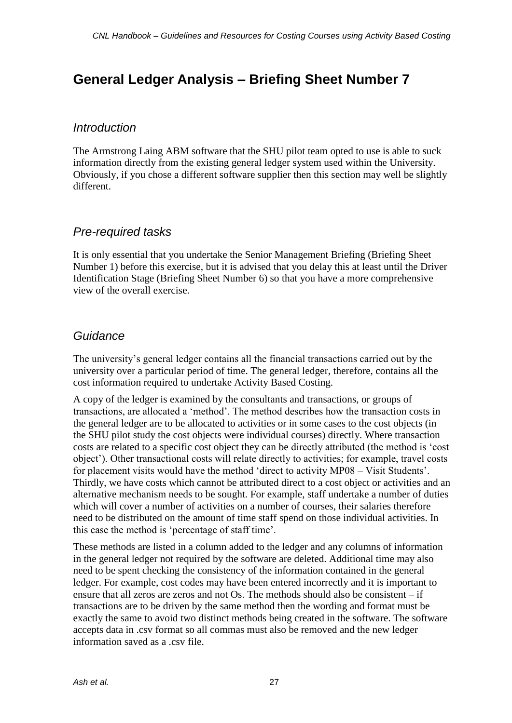### **General Ledger Analysis – Briefing Sheet Number 7**

### *Introduction*

The Armstrong Laing ABM software that the SHU pilot team opted to use is able to suck information directly from the existing general ledger system used within the University. Obviously, if you chose a different software supplier then this section may well be slightly different.

### *Pre-required tasks*

It is only essential that you undertake the Senior Management Briefing (Briefing Sheet Number 1) before this exercise, but it is advised that you delay this at least until the Driver Identification Stage (Briefing Sheet Number 6) so that you have a more comprehensive view of the overall exercise.

### *Guidance*

The university's general ledger contains all the financial transactions carried out by the university over a particular period of time. The general ledger, therefore, contains all the cost information required to undertake Activity Based Costing.

A copy of the ledger is examined by the consultants and transactions, or groups of transactions, are allocated a 'method'. The method describes how the transaction costs in the general ledger are to be allocated to activities or in some cases to the cost objects (in the SHU pilot study the cost objects were individual courses) directly. Where transaction costs are related to a specific cost object they can be directly attributed (the method is 'cost object'). Other transactional costs will relate directly to activities; for example, travel costs for placement visits would have the method 'direct to activity MP08 – Visit Students'. Thirdly, we have costs which cannot be attributed direct to a cost object or activities and an alternative mechanism needs to be sought. For example, staff undertake a number of duties which will cover a number of activities on a number of courses, their salaries therefore need to be distributed on the amount of time staff spend on those individual activities. In this case the method is 'percentage of staff time'.

These methods are listed in a column added to the ledger and any columns of information in the general ledger not required by the software are deleted. Additional time may also need to be spent checking the consistency of the information contained in the general ledger. For example, cost codes may have been entered incorrectly and it is important to ensure that all zeros are zeros and not Os. The methods should also be consistent – if transactions are to be driven by the same method then the wording and format must be exactly the same to avoid two distinct methods being created in the software. The software accepts data in .csv format so all commas must also be removed and the new ledger information saved as a .csv file.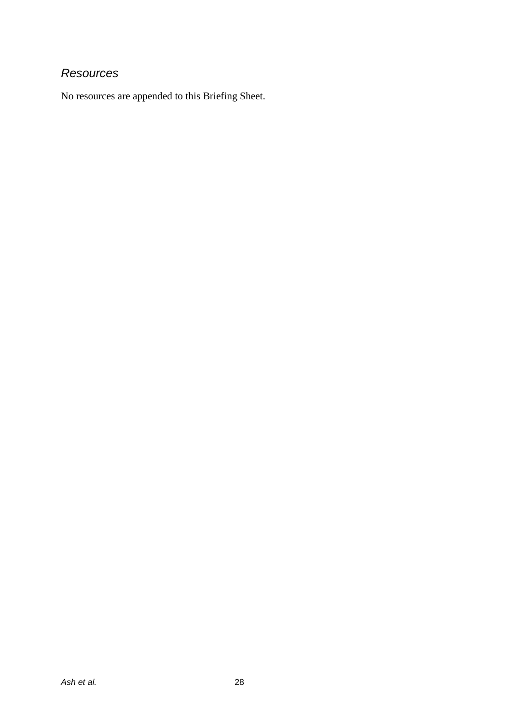### *Resources*

No resources are appended to this Briefing Sheet.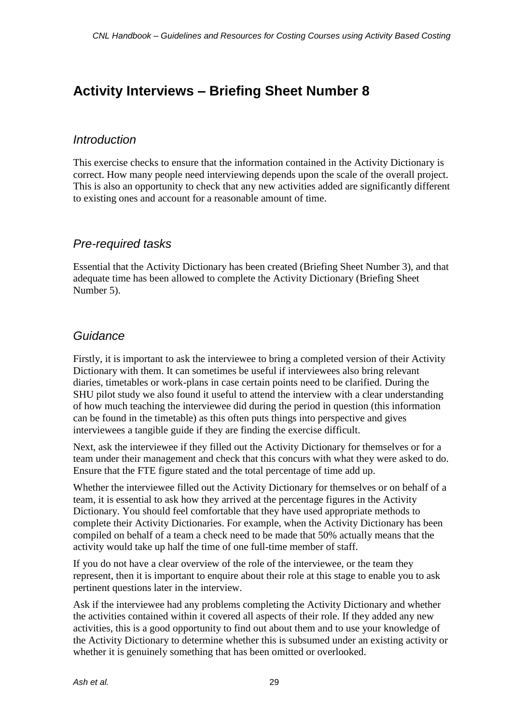### **Activity Interviews – Briefing Sheet Number 8**

### *Introduction*

This exercise checks to ensure that the information contained in the Activity Dictionary is correct. How many people need interviewing depends upon the scale of the overall project. This is also an opportunity to check that any new activities added are significantly different to existing ones and account for a reasonable amount of time.

### *Pre-required tasks*

Essential that the Activity Dictionary has been created (Briefing Sheet Number 3), and that adequate time has been allowed to complete the Activity Dictionary (Briefing Sheet Number 5).

### *Guidance*

Firstly, it is important to ask the interviewee to bring a completed version of their Activity Dictionary with them. It can sometimes be useful if interviewees also bring relevant diaries, timetables or work-plans in case certain points need to be clarified. During the SHU pilot study we also found it useful to attend the interview with a clear understanding of how much teaching the interviewee did during the period in question (this information can be found in the timetable) as this often puts things into perspective and gives interviewees a tangible guide if they are finding the exercise difficult.

Next, ask the interviewee if they filled out the Activity Dictionary for themselves or for a team under their management and check that this concurs with what they were asked to do. Ensure that the FTE figure stated and the total percentage of time add up.

Whether the interviewee filled out the Activity Dictionary for themselves or on behalf of a team, it is essential to ask how they arrived at the percentage figures in the Activity Dictionary. You should feel comfortable that they have used appropriate methods to complete their Activity Dictionaries. For example, when the Activity Dictionary has been compiled on behalf of a team a check need to be made that 50% actually means that the activity would take up half the time of one full-time member of staff.

If you do not have a clear overview of the role of the interviewee, or the team they represent, then it is important to enquire about their role at this stage to enable you to ask pertinent questions later in the interview.

Ask if the interviewee had any problems completing the Activity Dictionary and whether the activities contained within it covered all aspects of their role. If they added any new activities, this is a good opportunity to find out about them and to use your knowledge of the Activity Dictionary to determine whether this is subsumed under an existing activity or whether it is genuinely something that has been omitted or overlooked.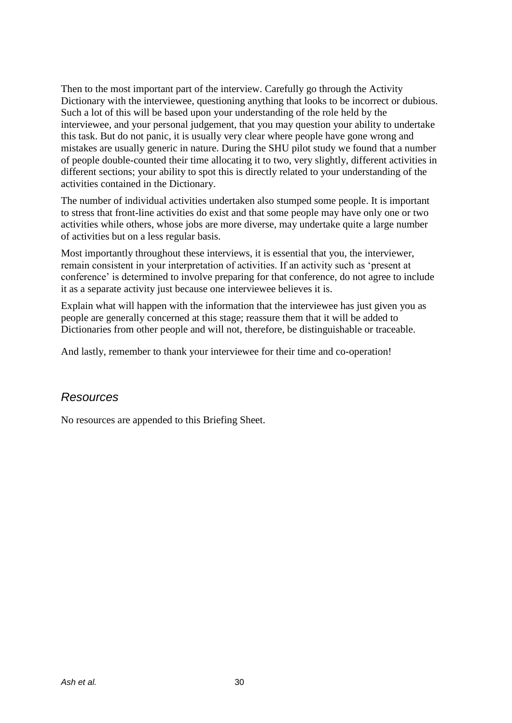Then to the most important part of the interview. Carefully go through the Activity Dictionary with the interviewee, questioning anything that looks to be incorrect or dubious. Such a lot of this will be based upon your understanding of the role held by the interviewee, and your personal judgement, that you may question your ability to undertake this task. But do not panic, it is usually very clear where people have gone wrong and mistakes are usually generic in nature. During the SHU pilot study we found that a number of people double-counted their time allocating it to two, very slightly, different activities in different sections; your ability to spot this is directly related to your understanding of the activities contained in the Dictionary.

The number of individual activities undertaken also stumped some people. It is important to stress that front-line activities do exist and that some people may have only one or two activities while others, whose jobs are more diverse, may undertake quite a large number of activities but on a less regular basis.

Most importantly throughout these interviews, it is essential that you, the interviewer, remain consistent in your interpretation of activities. If an activity such as 'present at conference' is determined to involve preparing for that conference, do not agree to include it as a separate activity just because one interviewee believes it is.

Explain what will happen with the information that the interviewee has just given you as people are generally concerned at this stage; reassure them that it will be added to Dictionaries from other people and will not, therefore, be distinguishable or traceable.

And lastly, remember to thank your interviewee for their time and co-operation!

### *Resources*

No resources are appended to this Briefing Sheet.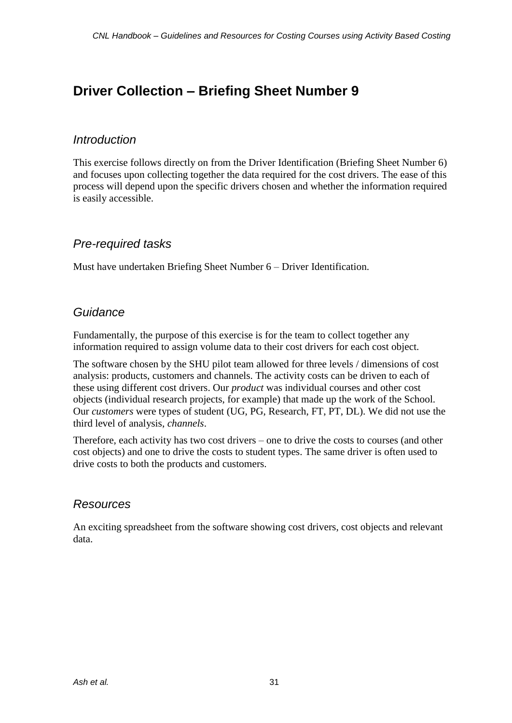### **Driver Collection – Briefing Sheet Number 9**

### *Introduction*

This exercise follows directly on from the Driver Identification (Briefing Sheet Number 6) and focuses upon collecting together the data required for the cost drivers. The ease of this process will depend upon the specific drivers chosen and whether the information required is easily accessible.

### *Pre-required tasks*

Must have undertaken Briefing Sheet Number 6 – Driver Identification.

### *Guidance*

Fundamentally, the purpose of this exercise is for the team to collect together any information required to assign volume data to their cost drivers for each cost object.

The software chosen by the SHU pilot team allowed for three levels / dimensions of cost analysis: products, customers and channels. The activity costs can be driven to each of these using different cost drivers. Our *product* was individual courses and other cost objects (individual research projects, for example) that made up the work of the School. Our *customers* were types of student (UG, PG, Research, FT, PT, DL). We did not use the third level of analysis, *channels*.

Therefore, each activity has two cost drivers – one to drive the costs to courses (and other cost objects) and one to drive the costs to student types. The same driver is often used to drive costs to both the products and customers.

### *Resources*

An exciting spreadsheet from the software showing cost drivers, cost objects and relevant data.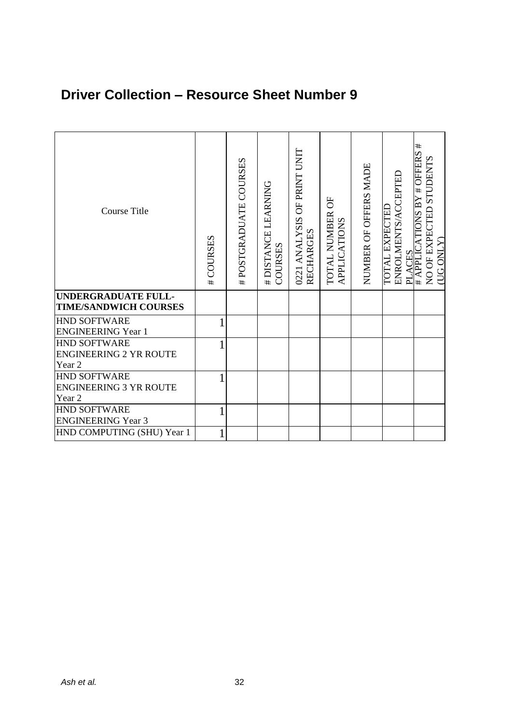### **Driver Collection – Resource Sheet Number 9**

| <b>Course Title</b>                                            | #COURSES | #POSTGRADUATE COURSES | # DISTANCE LEARNING<br>COURSES | 0221 ANALYSIS OF PRINT UNIT<br><b>RECHARGES</b> | TOTAL NUMBER OF<br><b>APPLICATIONS</b> | NUMBER OF OFFERS MADE | ENROLMENTS/ACCEPTED<br>PLACES<br># APPLICATIONS BY<br><b>TOTAL EXPECTED</b> | #<br>$\overline{*}$ OFFERS<br>NO OF EXPECTED STUDENTS<br>$(\overline{\text{UG OMLY}})$ |
|----------------------------------------------------------------|----------|-----------------------|--------------------------------|-------------------------------------------------|----------------------------------------|-----------------------|-----------------------------------------------------------------------------|----------------------------------------------------------------------------------------|
| <b>UNDERGRADUATE FULL-</b><br><b>TIME/SANDWICH COURSES</b>     |          |                       |                                |                                                 |                                        |                       |                                                                             |                                                                                        |
| <b>HND SOFTWARE</b><br><b>ENGINEERING Year 1</b>               |          |                       |                                |                                                 |                                        |                       |                                                                             |                                                                                        |
| <b>HND SOFTWARE</b><br><b>ENGINEERING 2 YR ROUTE</b><br>Year 2 |          |                       |                                |                                                 |                                        |                       |                                                                             |                                                                                        |
| HND SOFTWARE<br><b>ENGINEERING 3 YR ROUTE</b><br>Year 2        |          |                       |                                |                                                 |                                        |                       |                                                                             |                                                                                        |
| <b>HND SOFTWARE</b><br><b>ENGINEERING Year 3</b>               |          |                       |                                |                                                 |                                        |                       |                                                                             |                                                                                        |
| HND COMPUTING (SHU) Year 1                                     |          |                       |                                |                                                 |                                        |                       |                                                                             |                                                                                        |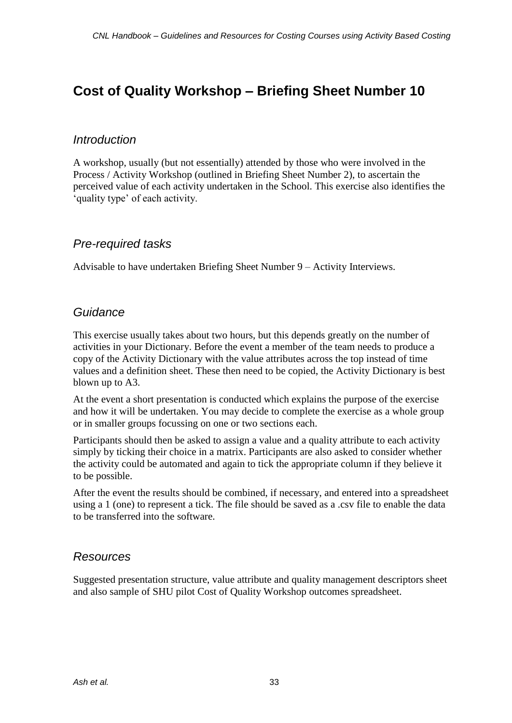### **Cost of Quality Workshop – Briefing Sheet Number 10**

### *Introduction*

A workshop, usually (but not essentially) attended by those who were involved in the Process / Activity Workshop (outlined in Briefing Sheet Number 2), to ascertain the perceived value of each activity undertaken in the School. This exercise also identifies the 'quality type' of each activity.

### *Pre-required tasks*

Advisable to have undertaken Briefing Sheet Number 9 – Activity Interviews.

### *Guidance*

This exercise usually takes about two hours, but this depends greatly on the number of activities in your Dictionary. Before the event a member of the team needs to produce a copy of the Activity Dictionary with the value attributes across the top instead of time values and a definition sheet. These then need to be copied, the Activity Dictionary is best blown up to A3.

At the event a short presentation is conducted which explains the purpose of the exercise and how it will be undertaken. You may decide to complete the exercise as a whole group or in smaller groups focussing on one or two sections each.

Participants should then be asked to assign a value and a quality attribute to each activity simply by ticking their choice in a matrix. Participants are also asked to consider whether the activity could be automated and again to tick the appropriate column if they believe it to be possible.

After the event the results should be combined, if necessary, and entered into a spreadsheet using a 1 (one) to represent a tick. The file should be saved as a .csv file to enable the data to be transferred into the software.

### *Resources*

Suggested presentation structure, value attribute and quality management descriptors sheet and also sample of SHU pilot Cost of Quality Workshop outcomes spreadsheet.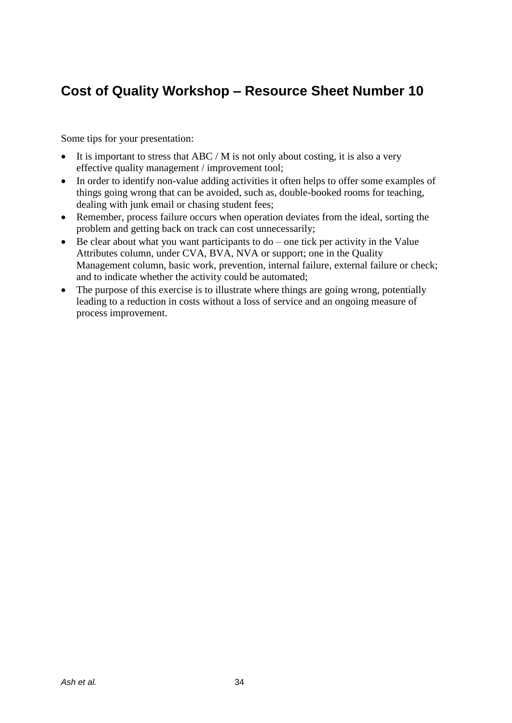### **Cost of Quality Workshop – Resource Sheet Number 10**

Some tips for your presentation:

- It is important to stress that ABC / M is not only about costing, it is also a very effective quality management / improvement tool;
- In order to identify non-value adding activities it often helps to offer some examples of things going wrong that can be avoided, such as, double-booked rooms for teaching, dealing with junk email or chasing student fees;
- Remember, process failure occurs when operation deviates from the ideal, sorting the problem and getting back on track can cost unnecessarily;
- $\bullet$  Be clear about what you want participants to do one tick per activity in the Value Attributes column, under CVA, BVA, NVA or support; one in the Quality Management column, basic work, prevention, internal failure, external failure or check; and to indicate whether the activity could be automated;
- The purpose of this exercise is to illustrate where things are going wrong, potentially leading to a reduction in costs without a loss of service and an ongoing measure of process improvement.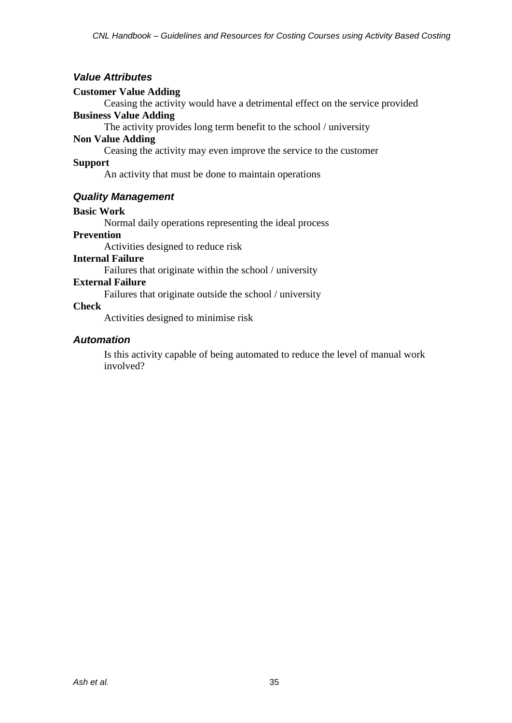#### *Value Attributes*

#### **Customer Value Adding**

Ceasing the activity would have a detrimental effect on the service provided **Business Value Adding**

The activity provides long term benefit to the school / university

#### **Non Value Adding**

Ceasing the activity may even improve the service to the customer

#### **Support**

An activity that must be done to maintain operations

#### *Quality Management*

#### **Basic Work**

Normal daily operations representing the ideal process

#### **Prevention**

Activities designed to reduce risk

#### **Internal Failure**

Failures that originate within the school / university

#### **External Failure**

Failures that originate outside the school / university

#### **Check**

Activities designed to minimise risk

#### *Automation*

Is this activity capable of being automated to reduce the level of manual work involved?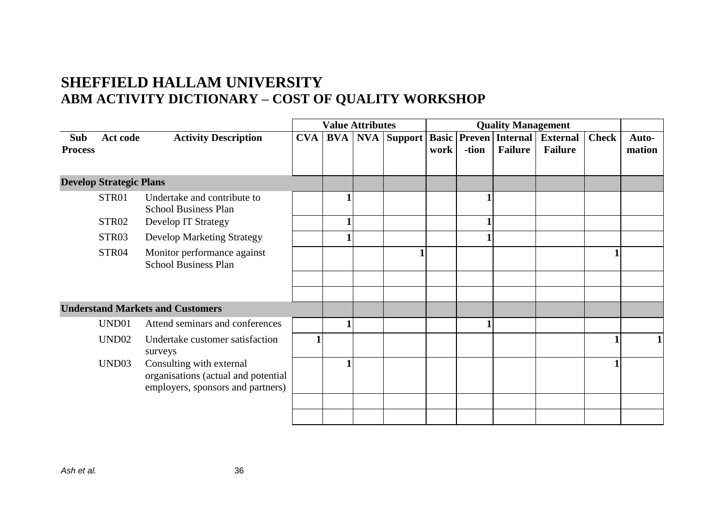### **SHEFFIELD HALLAM UNIVERSITY ABM ACTIVITY DICTIONARY – COST OF QUALITY WORKSHOP**

|                       |                                |                                                                                                      | <b>Value Attributes</b> |            |     |         | <b>Quality Management</b> |                        |                            |                                   |              |                 |
|-----------------------|--------------------------------|------------------------------------------------------------------------------------------------------|-------------------------|------------|-----|---------|---------------------------|------------------------|----------------------------|-----------------------------------|--------------|-----------------|
| Sub<br><b>Process</b> | Act code                       | <b>Activity Description</b>                                                                          | <b>CVA</b>              | <b>BVA</b> | NVA | Support | <b>Basic</b><br>work      | <b>Preven</b><br>-tion | Internal<br><b>Failure</b> | <b>External</b><br><b>Failure</b> | <b>Check</b> | Auto-<br>mation |
|                       | <b>Develop Strategic Plans</b> |                                                                                                      |                         |            |     |         |                           |                        |                            |                                   |              |                 |
|                       | STR01                          | Undertake and contribute to<br><b>School Business Plan</b>                                           |                         |            |     |         |                           |                        |                            |                                   |              |                 |
|                       | STR02                          | Develop IT Strategy                                                                                  |                         |            |     |         |                           |                        |                            |                                   |              |                 |
|                       | STR03                          | <b>Develop Marketing Strategy</b>                                                                    |                         |            |     |         |                           |                        |                            |                                   |              |                 |
|                       | STR04                          | Monitor performance against<br><b>School Business Plan</b>                                           |                         |            |     |         |                           |                        |                            |                                   |              |                 |
|                       |                                |                                                                                                      |                         |            |     |         |                           |                        |                            |                                   |              |                 |
|                       |                                | <b>Understand Markets and Customers</b>                                                              |                         |            |     |         |                           |                        |                            |                                   |              |                 |
|                       | UND01                          | Attend seminars and conferences                                                                      |                         |            |     |         |                           |                        |                            |                                   |              |                 |
|                       | UND <sub>02</sub>              | Undertake customer satisfaction<br>surveys                                                           | 1                       |            |     |         |                           |                        |                            |                                   |              |                 |
|                       | UND <sub>03</sub>              | Consulting with external<br>organisations (actual and potential<br>employers, sponsors and partners) |                         |            |     |         |                           |                        |                            |                                   |              |                 |
|                       |                                |                                                                                                      |                         |            |     |         |                           |                        |                            |                                   |              |                 |
|                       |                                |                                                                                                      |                         |            |     |         |                           |                        |                            |                                   |              |                 |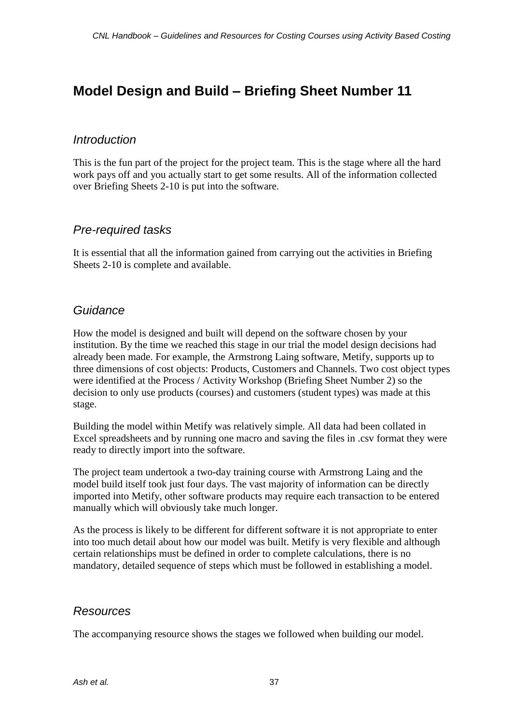### **Model Design and Build – Briefing Sheet Number 11**

### *Introduction*

This is the fun part of the project for the project team. This is the stage where all the hard work pays off and you actually start to get some results. All of the information collected over Briefing Sheets 2-10 is put into the software.

### *Pre-required tasks*

It is essential that all the information gained from carrying out the activities in Briefing Sheets 2-10 is complete and available.

### *Guidance*

How the model is designed and built will depend on the software chosen by your institution. By the time we reached this stage in our trial the model design decisions had already been made. For example, the Armstrong Laing software, Metify, supports up to three dimensions of cost objects: Products, Customers and Channels. Two cost object types were identified at the Process / Activity Workshop (Briefing Sheet Number 2) so the decision to only use products (courses) and customers (student types) was made at this stage.

Building the model within Metify was relatively simple. All data had been collated in Excel spreadsheets and by running one macro and saving the files in .csv format they were ready to directly import into the software.

The project team undertook a two-day training course with Armstrong Laing and the model build itself took just four days. The vast majority of information can be directly imported into Metify, other software products may require each transaction to be entered manually which will obviously take much longer.

As the process is likely to be different for different software it is not appropriate to enter into too much detail about how our model was built. Metify is very flexible and although certain relationships must be defined in order to complete calculations, there is no mandatory, detailed sequence of steps which must be followed in establishing a model.

### *Resources*

The accompanying resource shows the stages we followed when building our model.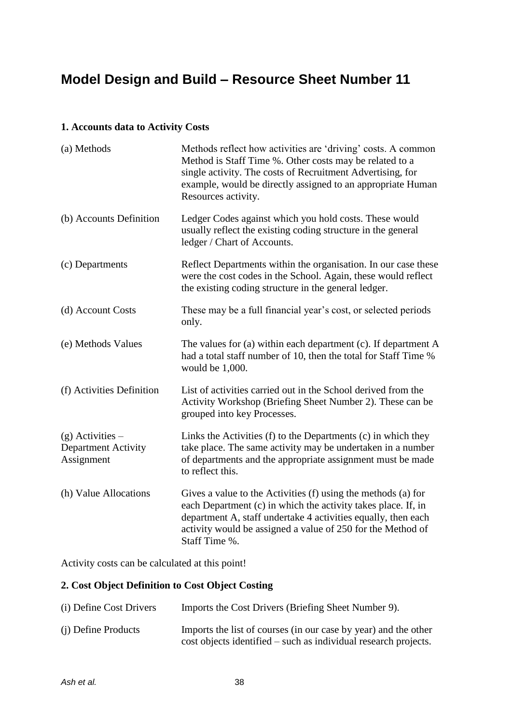### **Model Design and Build – Resource Sheet Number 11**

#### **1. Accounts data to Activity Costs**

| (a) Methods                                                    | Methods reflect how activities are 'driving' costs. A common<br>Method is Staff Time %. Other costs may be related to a<br>single activity. The costs of Recruitment Advertising, for<br>example, would be directly assigned to an appropriate Human<br>Resources activity.     |
|----------------------------------------------------------------|---------------------------------------------------------------------------------------------------------------------------------------------------------------------------------------------------------------------------------------------------------------------------------|
| (b) Accounts Definition                                        | Ledger Codes against which you hold costs. These would<br>usually reflect the existing coding structure in the general<br>ledger / Chart of Accounts.                                                                                                                           |
| (c) Departments                                                | Reflect Departments within the organisation. In our case these<br>were the cost codes in the School. Again, these would reflect<br>the existing coding structure in the general ledger.                                                                                         |
| (d) Account Costs                                              | These may be a full financial year's cost, or selected periods<br>only.                                                                                                                                                                                                         |
| (e) Methods Values                                             | The values for $(a)$ within each department $(c)$ . If department A<br>had a total staff number of 10, then the total for Staff Time %<br>would be 1,000.                                                                                                                       |
| (f) Activities Definition                                      | List of activities carried out in the School derived from the<br>Activity Workshop (Briefing Sheet Number 2). These can be<br>grouped into key Processes.                                                                                                                       |
| $(g)$ Activities –<br><b>Department Activity</b><br>Assignment | Links the Activities (f) to the Departments (c) in which they<br>take place. The same activity may be undertaken in a number<br>of departments and the appropriate assignment must be made<br>to reflect this.                                                                  |
| (h) Value Allocations                                          | Gives a value to the Activities (f) using the methods (a) for<br>each Department (c) in which the activity takes place. If, in<br>department A, staff undertake 4 activities equally, then each<br>activity would be assigned a value of 250 for the Method of<br>Staff Time %. |

Activity costs can be calculated at this point!

### **2. Cost Object Definition to Cost Object Costing**

| (i) Define Cost Drivers | Imports the Cost Drivers (Briefing Sheet Number 9).                                                                                |
|-------------------------|------------------------------------------------------------------------------------------------------------------------------------|
| (i) Define Products     | Imports the list of courses (in our case by year) and the other<br>cost objects identified – such as individual research projects. |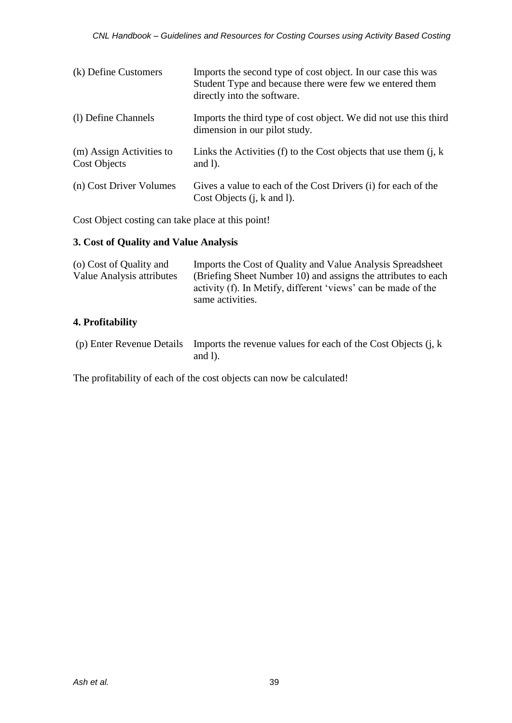| (k) Define Customers                            | Imports the second type of cost object. In our case this was<br>Student Type and because there were few we entered them<br>directly into the software. |
|-------------------------------------------------|--------------------------------------------------------------------------------------------------------------------------------------------------------|
| (1) Define Channels                             | Imports the third type of cost object. We did not use this third<br>dimension in our pilot study.                                                      |
| (m) Assign Activities to<br><b>Cost Objects</b> | Links the Activities (f) to the Cost objects that use them $(i, k)$<br>and $l$ ).                                                                      |
| (n) Cost Driver Volumes                         | Gives a value to each of the Cost Drivers (i) for each of the<br>Cost Objects $(i, k \text{ and } l)$ .                                                |

Cost Object costing can take place at this point!

### **3. Cost of Quality and Value Analysis**

| (o) Cost of Quality and<br><b>Value Analysis attributes</b> | Imports the Cost of Quality and Value Analysis Spreadsheet<br>(Briefing Sheet Number 10) and assigns the attributes to each<br>activity (f). In Metify, different 'views' can be made of the<br>same activities. |
|-------------------------------------------------------------|------------------------------------------------------------------------------------------------------------------------------------------------------------------------------------------------------------------|
| 4. Profitability                                            |                                                                                                                                                                                                                  |

(p) Enter Revenue Details Imports the revenue values for each of the Cost Objects (j, k and l).

The profitability of each of the cost objects can now be calculated!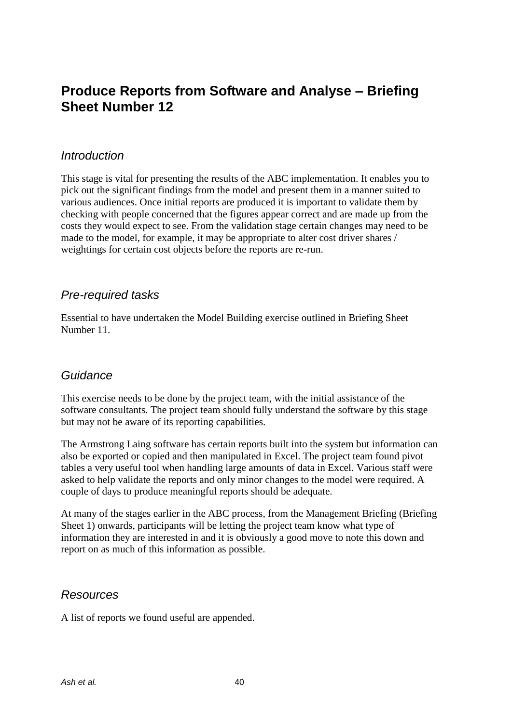### **Produce Reports from Software and Analyse – Briefing Sheet Number 12**

### *Introduction*

This stage is vital for presenting the results of the ABC implementation. It enables you to pick out the significant findings from the model and present them in a manner suited to various audiences. Once initial reports are produced it is important to validate them by checking with people concerned that the figures appear correct and are made up from the costs they would expect to see. From the validation stage certain changes may need to be made to the model, for example, it may be appropriate to alter cost driver shares / weightings for certain cost objects before the reports are re-run.

### *Pre-required tasks*

Essential to have undertaken the Model Building exercise outlined in Briefing Sheet Number 11.

### *Guidance*

This exercise needs to be done by the project team, with the initial assistance of the software consultants. The project team should fully understand the software by this stage but may not be aware of its reporting capabilities.

The Armstrong Laing software has certain reports built into the system but information can also be exported or copied and then manipulated in Excel. The project team found pivot tables a very useful tool when handling large amounts of data in Excel. Various staff were asked to help validate the reports and only minor changes to the model were required. A couple of days to produce meaningful reports should be adequate.

At many of the stages earlier in the ABC process, from the Management Briefing (Briefing Sheet 1) onwards, participants will be letting the project team know what type of information they are interested in and it is obviously a good move to note this down and report on as much of this information as possible.

### *Resources*

A list of reports we found useful are appended.